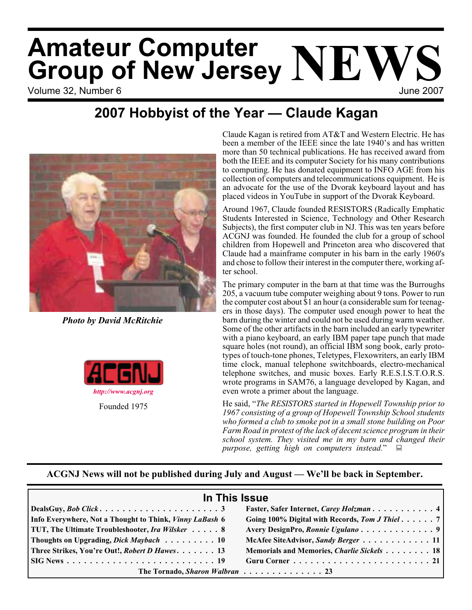# Volume 32. Number 6 June 2007 **Amateur Computer Group of New Jersey NEWS**

# **2007 Hobbyist of the Year — Claude Kagan**



*Photo by David McRitchie*



Claude Kagan is retired from AT&T and Western Electric. He has been a member of the IEEE since the late 1940's and has written more than 50 technical publications. He has received award from both the IEEE and its computer Society for his many contributions to computing. He has donated equipment to INFO AGE from his collection of computers and telecommunications equipment. He is an advocate for the use of the Dvorak keyboard layout and has placed videos in YouTube in support of the Dvorak Keyboard.

Around 1967, Claude founded RESISTORS (Radically Emphatic Students Interested in Science, Technology and Other Research Subjects), the first computer club in NJ. This was ten years before ACGNJ was founded. He founded the club for a group of school children from Hopewell and Princeton area who discovered that Claude had a mainframe computer in his barn in the early 1960's and chose to follow their interest in the computer there, working after school.

The primary computer in the barn at that time was the Burroughs 205, a vacuum tube computer weighing about 9 tons. Power to run the computer cost about \$1 an hour (a considerable sum for teenagers in those days). The computer used enough power to heat the barn during the winter and could not be used during warm weather. Some of the other artifacts in the barn included an early typewriter with a piano keyboard, an early IBM paper tape punch that made square holes (not round), an official IBM song book, early prototypes of touch-tone phones, Teletypes, Flexowriters, an early IBM time clock, manual telephone switchboards, electro-mechanical telephone switches, and music boxes. Early R.E.S.I.S.T.O.R.S. wrote programs in SAM76, a language developed by Kagan, and even wrote a primer about the language.

He said, "*The RESISTORS started in Hopewell Township prior to 1967 consisting of a group of Hopewell Township School students who formed a club to smoke pot in a small stone building on Poor Farm Road in protest of the lack of decent science program in their school system. They visited me in my barn and changed their purpose, getting high on computers instead.*"

# **ACGNJ News will not be published during July and August — We'll be back in September.**

| In This Issue                                           |                                                |
|---------------------------------------------------------|------------------------------------------------|
|                                                         |                                                |
| Info Everywhere, Not a Thought to Think, Vinny LaBash 6 | Going 100% Digital with Records, Tom J Thiel 7 |
| TUT, The Ultimate Troubleshooter, Ira Wilsker 8         |                                                |
| Thoughts on Upgrading, <i>Dick Maybach</i> 10           | McAfee SiteAdvisor, Sandy Berger 11            |
| Three Strikes, You're Out!, Robert D Hawes. 13          | Memorials and Memories, Charlie Sickels 18     |
|                                                         |                                                |
| The Tornado, Sharon Walbran 23                          |                                                |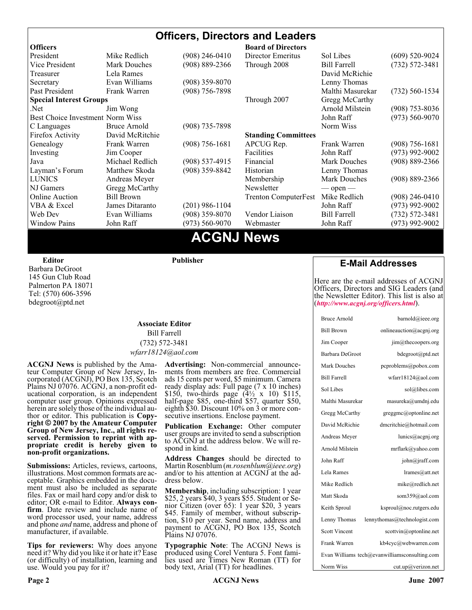#### **Officers, Directors and Leaders Officers Board of Directors**<br> **President Director Mike Redlich** (908) 246-0410 **Director Emeritus** President Mike Alexander Mike Sol Libes (609) 520-9024<br>
President Mike Bill Farrell (732) 572-3481<br>
President Mike Bill Farrell (732) 572-3481 Vice President Mark Douches (908) 889-2366 Through 2008 Bill Farrell (732) 572-3481 Treasurer Lela Rames **David McRichie** David McRichie Secretary Evan Williams (908) 359-8070 Lenny Thomas Past President Frank Warren (908) 756-7898 Malthi Masurekar (732) 560-1534 **Special Interest Groups** Through 2007 Gregg McCarthy Net Jim Wong 31 Jim Wong 2008) 353-8036 Best Choice Investment Norm Wiss<br>
C Languages Bruce Arnold (908) 735-7898 (908) 700 Morm Wiss (973) 560-9070 C Languages Bruce Arnold (908) 735-7898<br>Firefox Activity David McRitchie Firefox Activity David McRitchie **Standing Committees** Genealogy Frank Warren (908) 756-1681 APCUG Rep. Frank Warren (908) 756-1681 Investing Jim Cooper Facilities Facilities John Raff (973) 992-9002<br>Java Michael Redlich (908) 537-4915 Financial Mark Douches (908) 889-2366 Java Michael Redlich (908) 537-4915 Financial Mark Douches (908) 889-2366 Layman's Forum Matthew Skoda (908) 359-8842 Historian Lenny Thomas LUNICS Andreas Meyer Membership Mark Douches (908) 889-2366 NJ Gamers Gregg McCarthy Newsletter — open — open — Online Auction Bill Brown Trenton ComputerFest Mike Redlich (908) 246-0410 VBA & Excel James Ditaranto (201) 986-1104 John Raff (973) 992-9002 Web Dev Evan Williams (908) 359-8070 Vendor Liaison Bill Farrell (732) 572-3481 Window Pains John Raff (973) 560-9070 Webmaster John Raff (973) 992-9002

# **ACGNJ News**

**Editor**

Barbara DeGroot 145 Gun Club Road Palmerton PA 18071 Tel: (570) 606-3596 bdegroot@ptd.net

# **Publisher**

#### **Associate Editor** Bill Farrell (732) 572-3481 *wfarr18124@aol.com*

**ACGNJ News** is published by the Ama- teur Computer Group of New Jersey, In- corporated (ACGNJ), PO Box 135, Scotch Plains NJ 07076. ACGNJ, a non-profit ed-<br>ucational corporation, is an independent computer user group. Opinions expressed<br>herein are solely those of the individual author or editor. This publication is **Copy-**<br>right © 2007 by the Amateur Computer<br>Group of New Jersey, Inc., all rights re-**Group of New Jersey, Inc., all rights re- served. Permission to reprint with ap- propriate credit is hereby given to non-profit organizations.**

**Submissions:** Articles, reviews, cartoons, illustrations. Most common formats are acceptable. Graphics embedded in the docu-<br>ment must also be included as separate files. Fax or mail hard copy and/or disk to editor: OR e-mail to Editor. **Always con**firm. Date review and include name of word processor used, your name, address and phone *and* name, address and phone of manufacturer, if available.

**Tips for reviewers:** Why does anyone need it? Why did you like it or hate it? Ease (or difficulty) of installation, learning and use. Would you pay for it?

**Advertising:** Non-commercial announce- ments from members are free. Commercial ads 15 cents per word, \$5 minimum. Camera ready display ads: Full page (7 x 10 inches) \$150, two-thirds page (4½ x 10) \$115, half-page \$85, one-third \$57, quarter \$50, eighth \$30. Discount 10% on 3 or more con- secutive insertions. Enclose payment.

**Publication Exchange:** Other computer user groups are invited to send a subscription to ACGNJ at the address below. We will re- spond in kind.

**Address Changes** should be directed to Martin Rosenblum (*m.rosenblum@ieee.org*) and/or to his attention at ACGNJ at the ad- dress below.

**Membership**, including subscription: 1 year \$25, 2 years \$40, 3 years \$55. Student or Senior Citizen (over 65): 1 year \$20, 3 years \$45. Family of member, without subscription, \$10 per year. Send name, address and payment to ACGNJ, PO Box 135, Scotch Plains NJ 07076.

**Typographic Note**: The ACGNJ News is produced using Corel Ventura 5. Font fami- lies used are Times New Roman (TT) for body text, Arial (TT) for headlines.

### **E-Mail Addresses**

Here are the e-mail addresses of ACGNJ Officers, Directors and SIG Leaders (and the Newsletter Editor). This list is also at (*<http://www.acgnj.org/officers.html>*).

| <b>Bruce Arnold</b>  | barnold@ieee.org                              |
|----------------------|-----------------------------------------------|
| <b>Bill Brown</b>    | onlineauction@acgnj.org                       |
| Jim Cooper           | $\lim$ ( <i>a</i> ) the coopers or g          |
| Barbara DeGroot      | bdegroot@ptd.net                              |
| Mark Douches         | pcproblems@pobox.com                          |
| <b>Bill Farrell</b>  | wfarr18124@aol.com                            |
| Sol Libes            | sol@libes.com                                 |
| Malthi Masurekar     | masureka@umdnj.edu                            |
| Gregg McCarthy       | greggmc@optonline.net                         |
| David McRichie       | dmcritchie@hotmail.com                        |
| Andreas Meyer        | lunics@acgnj.org                              |
| Arnold Milstein      | mrflark@yahoo.com                             |
| John Raff            | john@jraff.com                                |
| Lela Rames           | lrames@att.net                                |
| Mike Redlich         | mike@redlich.net                              |
| Matt Skoda           | som359@aol.com                                |
| Keith Sproul         | ksproul@noc.rutgers.edu                       |
| Lenny Thomas         | lennythomas@technologist.com                  |
| <b>Scott Vincent</b> | scottvin@optonline.net                        |
| Frank Warren         | kb4cyc@webwarren.com                          |
|                      | Evan Williams tech@evanwilliamsconsulting.com |
| Norm Wiss            | cut.up@verizon.net                            |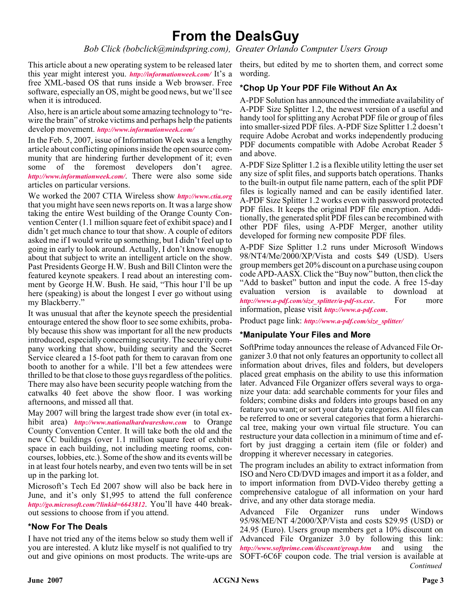# **From the DealsGuy**

*Bob Click (bobclick@mindspring.com), Greater Orlando Computer Users Group*

This article about a new operating system to be released later theirs, but edited by me to shorten them, and correct some this year might interest you. *[http://informationweek.com/](http://www.informationweek.com/showArticle.jhtml)* It's a free XML-based OS that runs inside a Web browser. Free software, especially an OS, might be good news, but we'll see when it is introduced.

Also, here is an article about some amazing technology to "rewire the brain" of stroke victims and perhaps help the patients develop movement. *[http://www.informationweek.com/](http://www.informationweek.com/showArticle.jhtml)*

In the Feb. 5, 2007, issue of Information Week was a lengthy article about conflicting opinions inside the open source community that are hindering further development of it; even some of the foremost developers don't agree. *[http://www.informationweek.com/](http://www.informationweek.com/showArticle.jhtml?articleID=197002953 )*. There were also some side articles on particular versions.

We worked the 2007 CTIA Wireless show *<http://www.ctia.org>* that you might have seen news reports on. It was a large show taking the entire West building of the Orange County Convention Center (1.1 million square feet of exhibit space) and I didn't get much chance to tour that show. A couple of editors asked me if I would write up something, but I didn't feel up to going in early to look around. Actually, I don't know enough about that subject to write an intelligent article on the show. Past Presidents George H.W. Bush and Bill Clinton were the featured keynote speakers. I read about an interesting comment by George H.W. Bush. He said, "This hour I'll be up here (speaking) is about the longest I ever go without using my Blackberry."

It was unusual that after the keynote speech the presidential entourage entered the show floor to see some exhibits, probably because this show was important for all the new products introduced, especially concerning security. The security company working that show, building security and the Secret Service cleared a 15-foot path for them to caravan from one booth to another for a while. I'll bet a few attendees were thrilled to be that close to those guys regardless of the politics. There may also have been security people watching from the catwalks 40 feet above the show floor. I was working afternoons, and missed all that.

May 2007 will bring the largest trade show ever (in total exhibit area) *<http://www.nationalhardwareshow.com>* to Orange County Convention Center. It will take both the old and the new CC buildings (over 1.1 million square feet of exhibit space in each building, not including meeting rooms, concourses, lobbies, etc.). Some of the show and its events will be in at least four hotels nearby, and even two tents will be in set up in the parking lot.

Microsoft's Tech Ed 2007 show will also be back here in June, and it's only \$1,995 to attend the full conference *<http://go.microsoft.com/?linkid=6643812>*. You'll have 440 breakout sessions to choose from if you attend.

### **\*Now For The Deals**

I have not tried any of the items below so study them well if you are interested. A klutz like myself is not qualified to try out and give opinions on most products. The write-ups are

wording.

### **\*Chop Up Your PDF File Without An Ax**

A-PDF Solution has announced the immediate availability of A-PDF Size Splitter 1.2, the newest version of a useful and handy tool for splitting any Acrobat PDF file or group of files into smaller-sized PDF files. A-PDF Size Splitter 1.2 doesn't require Adobe Acrobat and works independently producing PDF documents compatible with Adobe Acrobat Reader 5 and above.

A-PDF Size Splitter 1.2 is a flexible utility letting the user set any size of split files, and supports batch operations. Thanks to the built-in output file name pattern, each of the split PDF files is logically named and can be easily identified later. A-PDF Size Splitter 1.2 works even with password protected PDF files. It keeps the original PDF file encryption. Additionally, the generated split PDF files can be recombined with other PDF files, using A-PDF Merger, another utility developed for forming new composite PDF files.

A-PDF Size Splitter 1.2 runs under Microsoft Windows 98/NT4/Me/2000/XP/Vista and costs \$49 (USD). Users group members get 20% discount on a purchase using coupon code APD-AASX. Click the "Buy now" button, then click the "Add to basket" button and input the code. A free 15-day evaluation version is available to download at *[http://www.a-pdf.com/size\\_splitter/a-pdf-ss.exe](http://www.a-pdf.com/size_splitter/a-pdf-ss.exe)*. For more information, please visit *<http://www.a-pdf.com>*.

Product page link: *[http://www.a-pdf.com/size\\_splitter/](http://www.a-pdf.com/size_splitter/)*

#### **\*Manipulate Your Files and More**

SoftPrime today announces the release of Advanced File Organizer 3.0 that not only features an opportunity to collect all information about drives, files and folders, but developers placed great emphasis on the ability to use this information later. Advanced File Organizer offers several ways to organize your data: add searchable comments for your files and folders; combine disks and folders into groups based on any feature you want; or sort your data by categories. All files can be referred to one or several categories that form a hierarchical tree, making your own virtual file structure. You can restructure your data collection in a minimum of time and effort by just dragging a certain item (file or folder) and dropping it wherever necessary in categories.

The program includes an ability to extract information from ISO and Nero CD/DVD images and import it as a folder, and to import information from DVD-Video thereby getting a comprehensive catalogue of all information on your hard drive, and any other data storage media.

*Continued* Advanced File Organizer runs under Windows 95/98/ME/NT 4/2000/XP/Vista and costs \$29.95 (USD) or 24.95 (Euro). Users group members get a 10% discount on Advanced File Organizer 3.0 by following this link: *<http://www.softprime.com/discount/group.htm>* and using the SOFT-6C6F coupon code. The trial version is available at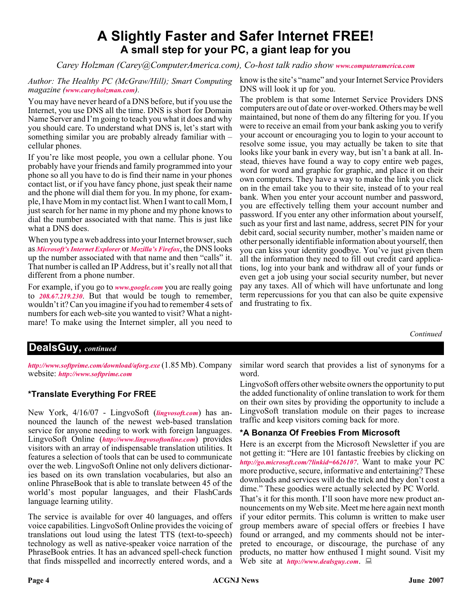# **A Slightly Faster and Safer Internet FREE! A small step for your PC, a giant leap for you**

*Carey Holzman (Carey@ComputerAmerica.com), Co-host talk radio show [www.computeramerica.com](http://www.computeramerica.com)*

*Author: The Healthy PC (McGraw/Hill); Smart Computing magazine ([www.careyholzman.com](http://www.careyholzman.com)).*

You may have never heard of a DNS before, but if you use the Internet, you use DNS all the time. DNS is short for Domain Name Server and I'm going to teach you what it does and why you should care. To understand what DNS is, let's start with something similar you are probably already familiar with – cellular phones.

If you're like most people, you own a cellular phone. You probably have your friends and family programmed into your phone so all you have to do is find their name in your phones contact list, or if you have fancy phone, just speak their name and the phone will dial them for you. In my phone, for example, I have Mom in my contact list. When I want to call Mom, I just search for her name in my phone and my phone knows to dial the number associated with that name. This is just like what a DNS does.

When you type a web address into your Internet browser, such as *[Microsoft's Internet Explorer](http://en.wikipedia.org/wiki/Internet_Explorer)* or *[Mozilla's Firefox](http://en.wikipedia.org/wiki/Mozilla_Firefox)*, the DNS looks up the number associated with that name and then "calls" it. That number is called an IP Address, but it's really not all that different from a phone number.

For example, if you go to *[www.google.com](http://www.google.com )* you are really going to *[208.67.219.230](http://208.67.219.230)*. But that would be tough to remember, wouldn't it? Can you imagine if you had to remember 4 sets of numbers for each web-site you wanted to visit? What a nightmare! To make using the Internet simpler, all you need to

know is the site's "name" and your Internet Service Providers DNS will look it up for you.

The problem is that some Internet Service Providers DNS computers are out of date or over-worked. Others may be well maintained, but none of them do any filtering for you. If you were to receive an email from your bank asking you to verify your account or encouraging you to login to your account to resolve some issue, you may actually be taken to site that looks like your bank in every way, but isn't a bank at all. Instead, thieves have found a way to copy entire web pages, word for word and graphic for graphic, and place it on their own computers. They have a way to make the link you click on in the email take you to their site, instead of to your real bank. When you enter your account number and password, you are effectively telling them your account number and password. If you enter any other information about yourself, such as your first and last name, address, secret PIN for your debit card, social security number, mother's maiden name or other personally identifiable information about yourself, then you can kiss your identity goodbye. You've just given them all the information they need to fill out credit card applications, log into your bank and withdraw all of your funds or even get a job using your social security number, but never pay any taxes. All of which will have unfortunate and long term repercussions for you that can also be quite expensive and frustrating to fix.

*Continued*

# **DealsGuy,** *continued*

*<http://www.softprime.com/download/aforg.exe>* (1.85 Mb). Company website: *<http://www.softprime.com>*

# **\*Translate Everything For FREE**

New York, 4/16/07 - LingvoSoft (*[lingvosoft.com](http://lingvosoft.com)*) has announced the launch of the newest web-based translation service for anyone needing to work with foreign languages. LingvoSoft Online (*<http://www.lingvosoftonline.com>*) provides visitors with an array of indispensable translation utilities. It features a selection of tools that can be used to communicate over the web. LingvoSoft Online not only delivers dictionaries based on its own translation vocabularies, but also an online PhraseBook that is able to translate between 45 of the world's most popular languages, and their FlashCards language learning utility.

The service is available for over 40 languages, and offers voice capabilities. LingvoSoft Online provides the voicing of translations out loud using the latest TTS (text-to-speech) technology as well as native-speaker voice narration of the PhraseBook entries. It has an advanced spell-check function that finds misspelled and incorrectly entered words, and a

similar word search that provides a list of synonyms for a word.

LingvoSoft offers other website owners the opportunity to put the added functionality of online translation to work for them on their own sites by providing the opportunity to include a LingvoSoft translation module on their pages to increase traffic and keep visitors coming back for more.

### **\*A Bonanza Of Freebies From Microsoft**

Here is an excerpt from the Microsoft Newsletter if you are not getting it: "Here are 101 fantastic freebies by clicking on *<http://go.microsoft.com/?linkid=6626107>*. Want to make your PC more productive, secure, informative and entertaining? These downloads and services will do the trick and they don't cost a dime." These goodies were actually selected by PC World.

That's it for this month. I'll soon have more new product announcements on my Web site. Meet me here again next month if your editor permits. This column is written to make user group members aware of special offers or freebies I have found or arranged, and my comments should not be interpreted to encourage, or discourage, the purchase of any products, no matter how enthused I might sound. Visit my Web site at *<http://www.dealsguy.com>*.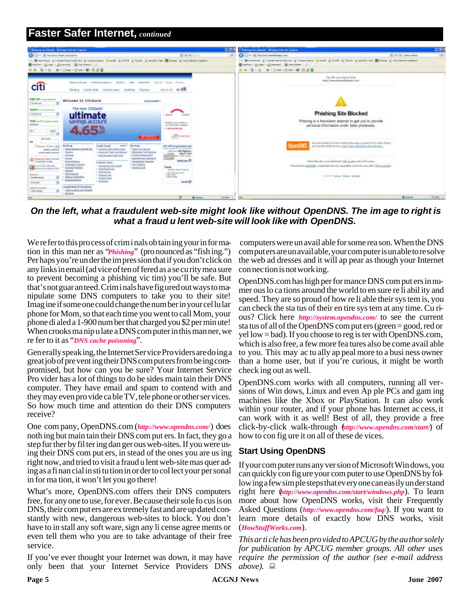# **Faster Safer Internet,** *continued*



On the left, what a fraudulent web-site might look like without OpenDNS. The im age to right is *what a fraud u lent web-site will look like with OpenDNS.* 

We refer to this process of criminals obtaining your information in this man ner as "*Phishing*" (pro nounced as "fish ing.") Per haps you're un der the im pres sion that if you don't click on any links in email (ad vice of ten of fered as a se cu rity mea sure to prevent becoming a phishing vic tim) you'll be safe. But that's not guar an teed. Crim i nals have figured out ways to manipulate some DNS computers to take you to their site! Imag ine if some one could change the num ber in your cel lu lar phone for Mom, so that each time you went to call Mom, your phone di aled a 1-900 num ber that charged you \$2 per min ute! When crooks ma nip u late a DNS com puter in this man ner, we re fer to it as "*DNS cache poisoning*".

Gen erally speak ing, the Internet Ser vice Pro viders are do ing a great job of pre vent ing their DNS com put ers from be ing com promised, but how can you be sure? Your Internet Service Pro vider has a lot of things to do be sides main tain their DNS computer. They have email and spam to contend with and they may even pro vide ca ble TV, tele phone or other ser vices. So how much time and attention do their DNS computers receive?

One com pany, OpenDNS.com (*http://www.opendns.com/*) does noth ing but main tain their DNS com put ers. In fact, they go a step fur ther by fil ter ing dan ger ous web-sites. If you were us ing their DNS com put ers, in stead of the ones you are us ing right now, and tried to visit a fraud u lent web-site mas quer ading as a fi nan cial in sti tu tion in or der to col lect your per sonal in for ma tion, it won't let you go there!

What's more, OpenDNS.com offers their DNS computers free, for any one to use, for ever. Be cause their sole fo cus is on DNS, their com put ers are ex tremely fast and are up dated constantly with new, dangerous web-sites to block. You don't have to in stall any soft ware, sign any li cense agree ments or even tell them who you are to take advantage of their free service.

If you've ever thought your Internet was down, it may have only been that your Internet Service Providers DNS

 computers were un avail able for some rea son. When the DNS com put ers are un avail able, your com puter is un able to re solve the web ad dresses and it will ap pear as though your Internet con nec tion is not work ing.

OpenDNS.com has high per for mance DNS com put ers in nu mer ous lo ca tions around the world to en sure re li abil ity and speed. They are so proud of how re li able their sys tem is, you can check the sta tus of their en tire sys tem at any time. Cu rious? Click here *http://system.opendns.com/* to see the current sta tus of all of the OpenDNS com put ers (green = good, red or yel low = bad). If you choose to reg is ter with OpenDNS.com, which is also free, a few more fea tures also be come avail able to you. This may ac tu ally ap peal more to a busi ness owner than a home user, but if you're curious, it might be worth check ing out as well.

OpenDNS.com works with all computers, running all versions of Win dows, Linux and even Ap ple PCs and gam ing ma chines like the Xbox or PlayStation. It can also work within your router, and if your phone has Internet ac cess, it can work with it as well! Best of all, they provide a free click-by-click walk-through (*http://www.opendns.com/start/*) of how to con fig ure it on all of these de vices.

# **Start Using OpenDNS**

If your com puter runs any ver sion of Microsoft Win dows, you can quickly con fig ure your com puter to use OpenDNS by follow ing a few sim ple steps that ev ery one can eas ily un der stand right here (*http://www.opendns.com/start/windows.php*). To learn more about how OpenDNS works, visit their Frequently Asked Questions (*http://www.opendns.com/faq/*). If you want to learn more details of exactly how DNS works, visit (*HowStuffWorks.com*).

*This ar ti cle has been pro vided to APCUG by the au thor solely for pub li ca tion by APCUG mem ber groups. All other uses require the permission of the author (see e-mail address*  $above$ ).  $\Box$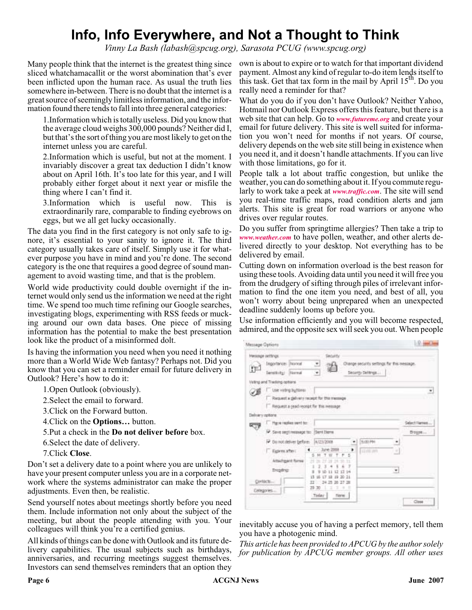# **Info, Info Everywhere, and Not a Thought to Think**

*Vinny La Bash (labash@spcug.org), Sarasota PCUG (www.spcug.org)*

sliced whatchamacallit or the worst abomination that's ever been inflicted upon the human race. As usual the truth lies somewhere in-between. There is no doubt that the internet is a great source of seemingly limitless information, and the information found there tends to fall into three general categories:

1.Information which is totally useless. Did you know that the average cloud weighs 300,000 pounds? Neither did I, but that's the sort of thing you are most likely to get on the internet unless you are careful.

2.Information which is useful, but not at the moment. I invariably discover a great tax deduction I didn't know about on April 16th. It's too late for this year, and I will probably either forget about it next year or misfile the thing where I can't find it.

3.Information which is useful now. This is extraordinarily rare, comparable to finding eyebrows on eggs, but we all get lucky occasionally.

The data you find in the first category is not only safe to ignore, it's essential to your sanity to ignore it. The third category usually takes care of itself. Simply use it for whatever purpose you have in mind and you're done. The second category is the one that requires a good degree of sound management to avoid wasting time, and that is the problem.

World wide productivity could double overnight if the internet would only send us the information we need at the right time. We spend too much time refining our Google searches, investigating blogs, experimenting with RSS feeds or mucking around our own data bases. One piece of missing information has the potential to make the best presentation look like the product of a misinformed dolt.

Is having the information you need when you need it nothing more than a World Wide Web fantasy? Perhaps not. Did you know that you can set a reminder email for future delivery in Outlook? Here's how to do it:

1.Open Outlook (obviously).

2.Select the email to forward.

3.Click on the Forward button.

4.Click on the **Options…** button.

5.Put a check in the **Do not deliver before** box.

6.Select the date of delivery.

7.Click **Close**.

Don't set a delivery date to a point where you are unlikely to have your present computer unless you are in a corporate network where the systems administrator can make the proper adjustments. Even then, be realistic.

Send yourself notes about meetings shortly before you need them. Include information not only about the subject of the meeting, but about the people attending with you. Your colleagues will think you're a certified genius.

All kinds of things can be done with Outlook and its future delivery capabilities. The usual subjects such as birthdays, anniversaries, and recurring meetings suggest themselves. Investors can send themselves reminders that an option they

Many people think that the internet is the greatest thing since own is about to expire or to watch for that important dividend payment. Almost any kind of regular to-do item lends itself to this task. Get that tax form in the mail by April  $15<sup>th</sup>$ . Do you really need a reminder for that?

> What do you do if you don't have Outlook? Neither Yahoo, Hotmail nor Outlook Express offers this feature, but there is a web site that can help. Go to *[www.futureme.org](http://www.futureme.org)* and create your email for future delivery. This site is well suited for information you won't need for months if not years. Of course, delivery depends on the web site still being in existence when you need it, and it doesn't handle attachments. If you can live with those limitations, go for it.

> People talk a lot about traffic congestion, but unlike the weather, you can do something about it. If you commute regularly to work take a peek at *[www.traffic.com](http://www.traffic.com)*. The site will send you real-time traffic maps, road condition alerts and jam alerts. This site is great for road warriors or anyone who drives over regular routes.

> Do you suffer from springtime allergies? Then take a trip to *[www.weather.com](http://www.weather.com)* to have pollen, weather, and other alerts delivered directly to your desktop. Not everything has to be delivered by email.

> Cutting down on information overload is the best reason for using these tools. Avoiding data until you need it will free you from the drudgery of sifting through piles of irrelevant information to find the one item you need, and best of all, you won't worry about being unprepared when an unexpected deadline suddenly looms up before you.

> Use information efficiently and you will become respected, admired, and the opposite sex will seek you out. When people

|     | Hessige settings                            | <b>Security</b>                              |                                                                 |               |
|-----|---------------------------------------------|----------------------------------------------|-----------------------------------------------------------------|---------------|
|     | Tegortance: (Norseal<br>Derettivity: Hermal | 브<br>×                                       | Diange security settings for this message.<br>Security Settings |               |
|     | Veting and Tradeng options.                 |                                              |                                                                 |               |
| 78  | C Use valvig hyttons                        |                                              |                                                                 |               |
|     |                                             | 7. Request a galvery recept for this message |                                                                 |               |
|     | Request a geodireceat for this message      |                                              |                                                                 |               |
|     | Delivery options                            |                                              |                                                                 |               |
|     | Have replies sent to:                       |                                              |                                                                 | Select Harves |
| ত্য | P. Save seyt recovage to: Sant Dane         |                                              |                                                                 | Drogge        |
|     | P Denot delver before: [A/23/2008]          |                                              | 300 PM                                                          |               |
|     | Figures after<br>Attachment formar          | <b>June 2008</b><br>TFS<br>25<br>27<br>×     | <b>LOOKING</b>                                                  | $\mathbb{Z}$  |
|     |                                             |                                              |                                                                 |               |
|     | <b>Enophric</b>                             | 10-11 12 13 14<br>18 19 20 21<br>τT          | ٠                                                               |               |
|     | Contacts                                    | 24.25.20.27.28<br>ш                          |                                                                 |               |
|     | Categories                                  | 29 30<br>×<br>-<br>٠                         |                                                                 |               |
|     |                                             | Today<br>Time:                               |                                                                 |               |

inevitably accuse you of having a perfect memory, tell them you have a photogenic mind.

*This article has been provided to APCUG by the author solely for publication by APCUG member groups. All other uses*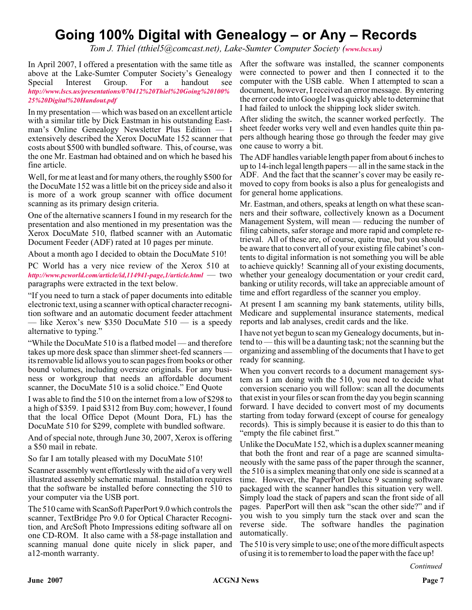# **Going 100% Digital with Genealogy – or Any – Records**

*Tom J. Thiel (tthiel5@comcast.net), Lake-Sumter Computer Society ([www.lscs.us](http://www.lscs.us))*

In April 2007, I offered a presentation with the same title as above at the Lake-Sumter Computer Society's Genealogy Special Interest Group. For a handout see *[http://www.lscs.us/presentations/070412%20Thiel%20Going%20100%](http://www.lscs.us/presentations/070412%20Thiel%20Going%20100%25%20Digital%20Handout.pdf) 25%20Digital%20Handout.pdf*

In my presentation — which was based on an excellent article with a similar title by Dick Eastman in his outstanding Eastman's Online Genealogy Newsletter Plus Edition — I extensively described the Xerox DocuMate 152 scanner that costs about \$500 with bundled software. This, of course, was the one Mr. Eastman had obtained and on which he based his fine article.

Well, for me at least and for many others, the roughly \$500 for the DocuMate 152 was a little bit on the pricey side and also it is more of a work group scanner with office document scanning as its primary design criteria.

One of the alternative scanners I found in my research for the presentation and also mentioned in my presentation was the Xerox DocuMate 510, flatbed scanner with an Automatic Document Feeder (ADF) rated at 10 pages per minute.

About a month ago I decided to obtain the DocuMate 510!

PC World has a very nice review of the Xerox 510 at *<http://www.pcworld.com/article/id,114941-page,1/article.html>* — two paragraphs were extracted in the text below.

"If you need to turn a stack of paper documents into editable electronic text, using a scanner with optical character recognition software and an automatic document feeder attachment — like Xerox's new \$350 DocuMate  $510$  — is a speedy alternative to typing."

"While the DocuMate 510 is a flatbed model — and therefore takes up more desk space than slimmer sheet-fed scanners its removable lid allows you to scan pages from books or other bound volumes, including oversize originals. For any business or workgroup that needs an affordable document scanner, the DocuMate 510 is a solid choice." End Quote

I was able to find the 510 on the internet from a low of \$298 to a high of \$359. I paid \$312 from Buy.com; however, I found that the local Office Depot (Mount Dora, FL) has the DocuMate 510 for \$299, complete with bundled software.

And of special note, through June 30, 2007, Xerox is offering a \$50 mail in rebate.

So far I am totally pleased with my DocuMate 510!

Scanner assembly went effortlessly with the aid of a very well illustrated assembly schematic manual. Installation requires that the software be installed before connecting the 510 to your computer via the USB port.

The 510 came with ScanSoft PaperPort 9.0 which controls the scanner, TextBridge Pro 9.0 for Optical Character Recognition, and ArcSoft Photo Impressions editing software all on one CD-ROM. It also came with a 58-page installation and scanning manual done quite nicely in slick paper, and a12-month warranty.

After the software was installed, the scanner components were connected to power and then I connected it to the computer with the USB cable. When I attempted to scan a document, however, I received an error message. By entering the error code into Google I was quickly able to determine that I had failed to unlock the shipping lock slider switch.

After sliding the switch, the scanner worked perfectly. The sheet feeder works very well and even handles quite thin papers although hearing those go through the feeder may give one cause to worry a bit.

The ADF handles variable length paper from about 6 inches to up to 14-inch legal length papers — all in the same stack in the ADF. And the fact that the scanner's cover may be easily removed to copy from books is also a plus for genealogists and for general home applications.

Mr. Eastman, and others, speaks at length on what these scanners and their software, collectively known as a Document Management System, will mean — reducing the number of filing cabinets, safer storage and more rapid and complete retrieval. All of these are, of course, quite true, but you should be aware that to convert all of your existing file cabinet's contents to digital information is not something you will be able to achieve quickly! Scanning all of your existing documents, whether your genealogy documentation or your credit card, banking or utility records, will take an appreciable amount of time and effort regardless of the scanner you employ.

At present I am scanning my bank statements, utility bills, Medicare and supplemental insurance statements, medical reports and lab analyses, credit cards and the like.

I have not yet begun to scan my Genealogy documents, but intend to — this will be a daunting task; not the scanning but the organizing and assembling of the documents that I have to get ready for scanning.

When you convert records to a document management system as I am doing with the 510, you need to decide what conversion scenario you will follow: scan all the documents that exist in your files or scan from the day you begin scanning forward. I have decided to convert most of my documents starting from today forward (except of course for genealogy records). This is simply because it is easier to do this than to "empty the file cabinet first."

Unlike the DocuMate 152, which is a duplex scanner meaning that both the front and rear of a page are scanned simultaneously with the same pass of the paper through the scanner, the 510 is a simplex meaning that only one side is scanned at a time. However, the PaperPort Deluxe 9 scanning software packaged with the scanner handles this situation very well. Simply load the stack of papers and scan the front side of all pages. PaperPort will then ask "scan the other side?" and if you wish to you simply turn the stack over and scan the reverse side. The software handles the pagination automatically.

The 510 is very simple to use; one of the more difficult aspects of using it is to remember to load the paper with the face up!

*Continued*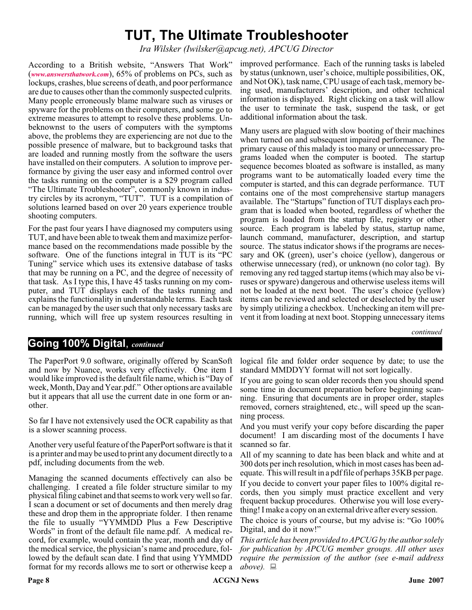# **TUT, The Ultimate Troubleshooter**

*Ira Wilsker (Iwilsker@apcug.net), APCUG Director*

According to a British website, "Answers That Work" (*[www.answersthatwork.com](http://www.answersthatwork.com)*), 65% of problems on PCs, such as lockups, crashes, blue screens of death, and poor performance are due to causes other than the commonly suspected culprits. Many people erroneously blame malware such as viruses or spyware for the problems on their computers, and some go to extreme measures to attempt to resolve these problems. Unbeknownst to the users of computers with the symptoms above, the problems they are experiencing are not due to the possible presence of malware, but to background tasks that are loaded and running mostly from the software the users have installed on their computers. A solution to improve performance by giving the user easy and informed control over the tasks running on the computer is a \$29 program called "The Ultimate Troubleshooter", commonly known in industry circles by its acronym, "TUT". TUT is a compilation of solutions learned based on over 20 years experience trouble shooting computers.

For the past four years I have diagnosed my computers using TUT, and have been able to tweak them and maximize performance based on the recommendations made possible by the software. One of the functions integral in TUT is its "PC Tuning" service which uses its extensive database of tasks that may be running on a PC, and the degree of necessity of that task. As I type this, I have 45 tasks running on my computer, and TUT displays each of the tasks running and explains the functionality in understandable terms. Each task can be managed by the user such that only necessary tasks are running, which will free up system resources resulting in

improved performance. Each of the running tasks is labeled by status (unknown, user's choice, multiple possibilities, OK, and Not OK), task name, CPU usage of each task, memory being used, manufacturers' description, and other technical information is displayed. Right clicking on a task will allow the user to terminate the task, suspend the task, or get additional information about the task.

Many users are plagued with slow booting of their machines when turned on and subsequent impaired performance. The primary cause of this malady is too many or unnecessary programs loaded when the computer is booted. The startup sequence becomes bloated as software is installed, as many programs want to be automatically loaded every time the computer is started, and this can degrade performance. TUT contains one of the most comprehensive startup managers available. The "Startups" function of TUT displays each program that is loaded when booted, regardless of whether the program is loaded from the startup file, registry or other source. Each program is labeled by status, startup name, launch command, manufacturer, description, and startup source. The status indicator shows if the programs are necessary and OK (green), user's choice (yellow), dangerous or otherwise unnecessary (red), or unknown (no color tag). By removing any red tagged startup items (which may also be viruses or spyware) dangerous and otherwise useless items will not be loaded at the next boot. The user's choice (yellow) items can be reviewed and selected or deselected by the user by simply utilizing a checkbox. Unchecking an item will prevent it from loading at next boot. Stopping unnecessary items

*continued*

# **Going 100% Digital**, *continued*

The PaperPort 9.0 software, originally offered by ScanSoft and now by Nuance, works very effectively. One item I would like improved is the default file name, which is "Day of week, Month, Day and Year.pdf." Other options are available but it appears that all use the current date in one form or another.

So far I have not extensively used the OCR capability as that is a slower scanning process.

Another very useful feature of the PaperPort software is that it is a printer and may be used to print any document directly to a pdf, including documents from the web.

Managing the scanned documents effectively can also be challenging. I created a file folder structure similar to my physical filing cabinet and that seems to work very well so far. I scan a document or set of documents and then merely drag these and drop them in the appropriate folder. I then rename the file to usually "YYMMDD Plus a Few Descriptive Words" in front of the default file name.pdf. A medical record, for example, would contain the year, month and day of the medical service, the physician's name and procedure, followed by the default scan date. I find that using YYMMDD format for my records allows me to sort or otherwise keep a

logical file and folder order sequence by date; to use the standard MMDDYY format will not sort logically.

If you are going to scan older records then you should spend some time in document preparation before beginning scanning. Ensuring that documents are in proper order, staples removed, corners straightened, etc., will speed up the scanning process.

And you must verify your copy before discarding the paper document! I am discarding most of the documents I have scanned so far.

All of my scanning to date has been black and white and at 300 dots per inch resolution, which in most cases has been adequate. This will result in a pdf file of perhaps 35KB per page.

If you decide to convert your paper files to 100% digital records, then you simply must practice excellent and very frequent backup procedures. Otherwise you will lose everything! I make a copy on an external drive after every session.

The choice is yours of course, but my advise is: "Go 100% Digital, and do it now!"

*This article has been provided to APCUG by the author solely for publication by APCUG member groups. All other uses require the permission of the author (see e-mail address above).*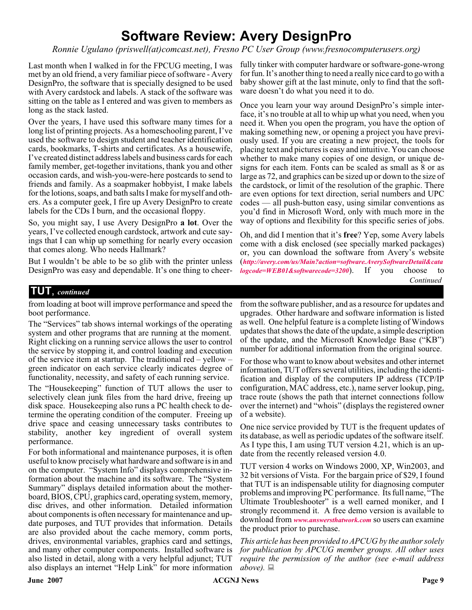# **Software Review: Avery DesignPro**

*Ronnie Ugulano (priswell(at)comcast.net), Fresno PC User Group (www.fresnocomputerusers.org)*

Last month when I walked in for the FPCUG meeting, I was met by an old friend, a very familiar piece of software - Avery DesignPro, the software that is specially designed to be used with Avery cardstock and labels. A stack of the software was sitting on the table as I entered and was given to members as long as the stack lasted.

Over the years, I have used this software many times for a long list of printing projects. As a homeschooling parent, I've used the software to design student and teacher identification cards, bookmarks, T-shirts and certificates. As a housewife, I've created distinct address labels and business cards for each family member, get-together invitations, thank you and other occasion cards, and wish-you-were-here postcards to send to friends and family. As a soapmaker hobbyist, I make labels for the lotions, soaps, and bath salts I make for myself and others. As a computer geek, I fire up Avery DesignPro to create labels for the CDs I burn, and the occasional floppy.

So, you might say, I use Avery DesignPro **a lot**. Over the years, I've collected enough cardstock, artwork and cute sayings that I can whip up something for nearly every occasion that comes along. Who needs Hallmark?

But I wouldn't be able to be so glib with the printer unless DesignPro was easy and dependable. It's one thing to cheerfully tinker with computer hardware or software-gone-wrong for fun. It's another thing to need a really nice card to go with a baby shower gift at the last minute, only to find that the software doesn't do what you need it to do.

Once you learn your way around DesignPro's simple interface, it's no trouble at all to whip up what you need, when you need it. When you open the program, you have the option of making something new, or opening a project you have previously used. If you are creating a new project, the tools for placing text and pictures is easy and intuitive. You can choose whether to make many copies of one design, or unique designs for each item. Fonts can be scaled as small as 8 or as large as 72, and graphics can be sized up or down to the size of the cardstock, or limit of the resolution of the graphic. There are even options for text direction, serial numbers and UPC codes — all push-button easy, using similar conventions as you'd find in Microsoft Word, only with much more in the way of options and flexibility for this specific series of jobs.

Oh, and did I mention that it's **free**? Yep, some Avery labels come with a disk enclosed (see specially marked packages) or, you can download the software from Avery's website (*[http://avery.com/us/Main?action=software.AverySoftwareDetail&cata](http://avery.com/us/Main?action=software.AverySoftwareDetail&catalogcode=WEB01&softwarecode=3200) logcode=WEB01&softwarecode=3200*). If you choose to *Continued*

# **TUT**, *continued*

from loading at boot will improve performance and speed the boot performance.

The "Services" tab shows internal workings of the operating system and other programs that are running at the moment. Right clicking on a running service allows the user to control the service by stopping it, and control loading and execution of the service item at startup. The traditional red – yellow – green indicator on each service clearly indicates degree of functionality, necessity, and safety of each running service.

The "Housekeeping" function of TUT allows the user to selectively clean junk files from the hard drive, freeing up disk space. Housekeeping also runs a PC health check to determine the operating condition of the computer. Freeing up drive space and ceasing unnecessary tasks contributes to stability, another key ingredient of overall system performance.

For both informational and maintenance purposes, it is often useful to know precisely what hardware and software is in and on the computer. "System Info" displays comprehensive information about the machine and its software. The "System Summary" displays detailed information about the motherboard, BIOS, CPU, graphics card, operating system, memory, disc drives, and other information. Detailed information about components is often necessary for maintenance and update purposes, and TUT provides that information. Details are also provided about the cache memory, comm ports, drives, environmental variables, graphics card and settings, and many other computer components. Installed software is also listed in detail, along with a very helpful adjunct; TUT also displays an internet "Help Link" for more information

from the software publisher, and as a resource for updates and upgrades. Other hardware and software information is listed as well. One helpful feature is a complete listing of Windows updates that shows the date of the update, a simple description of the update, and the Microsoft Knowledge Base ("KB") number for additional information from the original source.

For those who want to know about websites and other internet information, TUT offers several utilities, including the identification and display of the computers IP address (TCP/IP configuration, MAC address, etc.), name server lookup, ping, trace route (shows the path that internet connections follow over the internet) and "whois" (displays the registered owner of a website).

One nice service provided by TUT is the frequent updates of its database, as well as periodic updates of the software itself. As I type this, I am using TUT version 4.21, which is an update from the recently released version 4.0.

TUT version 4 works on Windows 2000, XP, Win2003, and 32 bit versions of Vista. For the bargain price of \$29, I found that TUT is an indispensable utility for diagnosing computer problems and improving PC performance. Its full name, "The Ultimate Troubleshooter" is a well earned moniker, and I strongly recommend it. A free demo version is available to download from *[www.answersthatwork.com](http://www.answersthatwork.com)* so users can examine the product prior to purchase.

*This article has been provided to APCUG by the author solely for publication by APCUG member groups. All other uses require the permission of the author (see e-mail address*  $above$ ).  $\Box$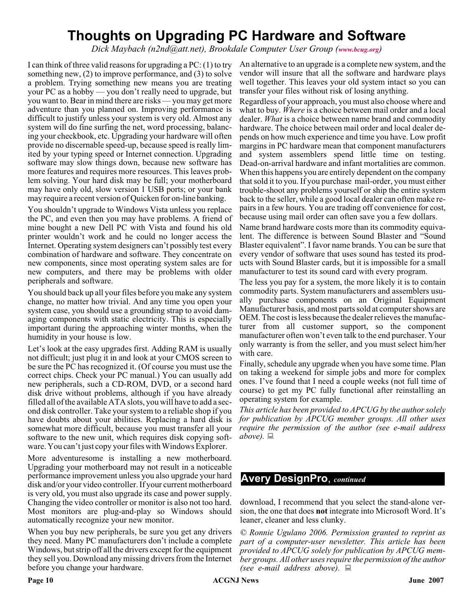# **Thoughts on Upgrading PC Hardware and Software**

*Dick Maybach (n2nd@att.net), Brookdale Computer User Group ([www.bcug.org](http://www.bcug.org))*

I can think of three valid reasons for upgrading a PC: (1) to try something new, (2) to improve performance, and (3) to solve a problem. Trying something new means you are treating your PC as a hobby — you don't really need to upgrade, but you want to. Bear in mind there are risks — you may get more adventure than you planned on. Improving performance is difficult to justify unless your system is very old. Almost any system will do fine surfing the net, word processing, balancing your checkbook, etc. Upgrading your hardware will often provide no discernable speed-up, because speed is really limited by your typing speed or Internet connection. Upgrading software may slow things down, because new software has more features and requires more resources. This leaves problem solving. Your hard disk may be full; your motherboard may have only old, slow version 1 USB ports; or your bank may require a recent version of Quicken for on-line banking.

You shouldn't upgrade to Windows Vista unless you replace the PC, and even then you may have problems. A friend of mine bought a new Dell PC with Vista and found his old printer wouldn't work and he could no longer access the Internet. Operating system designers can't possibly test every combination of hardware and software. They concentrate on new components, since most operating system sales are for new computers, and there may be problems with older peripherals and software.

You should back up all your files before you make any system change, no matter how trivial. And any time you open your system case, you should use a grounding strap to avoid damaging components with static electricity. This is especially important during the approaching winter months, when the humidity in your house is low.

Let's look at the easy upgrades first. Adding RAM is usually not difficult; just plug it in and look at your CMOS screen to be sure the PC has recognized it. (Of course you must use the correct chips. Check your PC manual.) You can usually add new peripherals, such a CD-ROM, DVD, or a second hard disk drive without problems, although if you have already filled all of the available ATA slots, you will have to add a second disk controller. Take your system to a reliable shop if you have doubts about your abilities. Replacing a hard disk is somewhat more difficult, because you must transfer all your software to the new unit, which requires disk copying software. You can't just copy your files with Windows Explorer.

More adventuresome is installing a new motherboard. Upgrading your motherboard may not result in a noticeable performance improvement unless you also upgrade your hard disk and/or your video controller. If your current motherboard is very old, you must also upgrade its case and power supply. Changing the video controller or monitor is also not too hard. Most monitors are plug-and-play so Windows should automatically recognize your new monitor.

When you buy new peripherals, be sure you get any drivers they need. Many PC manufacturers don't include a complete Windows, but strip off all the drivers except for the equipment they sell you. Download any missing drivers from the Internet before you change your hardware.

An alternative to an upgrade is a complete new system, and the vendor will insure that all the software and hardware plays well together. This leaves your old system intact so you can transfer your files without risk of losing anything.

Regardless of your approach, you must also choose where and what to buy. *Where* is a choice between mail order and a local dealer. *What* is a choice between name brand and commodity hardware. The choice between mail order and local dealer depends on how much experience and time you have. Low profit margins in PC hardware mean that component manufacturers and system assemblers spend little time on testing. Dead-on-arrival hardware and infant mortalities are common. When this happens you are entirely dependent on the company that sold it to you. If you purchase mail-order, you must either trouble-shoot any problems yourself or ship the entire system back to the seller, while a good local dealer can often make repairs in a few hours. You are trading off convenience for cost, because using mail order can often save you a few dollars.

Name brand hardware costs more than its commodity equivalent. The difference is between Sound Blaster and "Sound Blaster equivalent". I favor name brands. You can be sure that every vendor of software that uses sound has tested its products with Sound Blaster cards, but it is impossible for a small manufacturer to test its sound card with every program.

The less you pay for a system, the more likely it is to contain commodity parts. System manufacturers and assemblers usually purchase components on an Original Equipment Manufacturer basis, and most parts sold at computer shows are OEM. The cost is less because the dealer relieves the manufacturer from all customer support, so the component manufacturer often won't even talk to the end purchaser. Your only warranty is from the seller, and you must select him/her with care.

Finally, schedule any upgrade when you have some time. Plan on taking a weekend for simple jobs and more for complex ones. I've found that I need a couple weeks (not full time of course) to get my PC fully functional after reinstalling an operating system for example.

*This article has been provided to APCUG by the author solely for publication by APCUG member groups. All other uses require the permission of the author (see e-mail address above).*

# **Avery DesignPro**, *continued*

download, I recommend that you select the stand-alone version, the one that does **not** integrate into Microsoft Word. It's leaner, cleaner and less clunky.

*© Ronnie Ugulano 2006. Permission granted to reprint as part of a computer-user newsletter. This article has been provided to APCUG solely for publication by APCUG member groups. All other uses require the permission of the author (see e-mail address above).*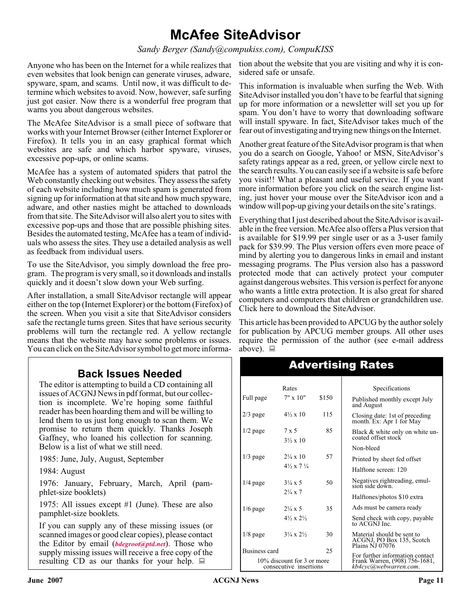# **McAfee SiteAdvisor**

*Sandy Berger (Sandy@compukiss.com), CompuKISS*

Anyone who has been on the Internet for a while realizes that even websites that look benign can generate viruses, adware, spyware, spam, and scams. Until now, it was difficult to determine which websites to avoid. Now, however, safe surfing just got easier. Now there is a wonderful free program that warns you about dangerous websites.

The McAfee SiteAdvisor is a small piece of software that works with your Internet Browser (either Internet Explorer or Firefox). It tells you in an easy graphical format which websites are safe and which harbor spyware, viruses, excessive pop-ups, or online scams.

McAfee has a system of automated spiders that patrol the Web constantly checking out websites. They assess the safety of each website including how much spam is generated from signing up for information at that site and how much spyware, adware, and other nasties might be attached to downloads from that site. The SiteAdvisor will also alert you to sites with excessive pop-ups and those that are possible phishing sites. Besides the automated testing, McAfee has a team of individuals who assess the sites. They use a detailed analysis as well as feedback from individual users.

To use the SiteAdvisor, you simply download the free program. The program is very small, so it downloads and installs quickly and it doesn't slow down your Web surfing.

After installation, a small SiteAdvisor rectangle will appear either on the top (Internet Explorer) or the bottom (Firefox) of the screen. When you visit a site that SiteAdvisor considers safe the rectangle turns green. Sites that have serious security problems will turn the rectangle red. A yellow rectangle means that the website may have some problems or issues. You can click on the SiteAdvisor symbol to get more informa-

# **Back Issues Needed**

The editor is attempting to build a CD containing all issues of ACGNJ News in pdf format, but our collection is incomplete. We're hoping some faithful reader has been hoarding them and will be willing to lend them to us just long enough to scan them. We promise to return them quickly. Thanks Joseph Gaffney, who loaned his collection for scanning. Below is a list of what we still need.

1985: June, July, August, September

1984: August

1976: January, February, March, April (pamphlet-size booklets)

1975: All issues except #1 (June). These are also pamphlet-size booklets.

If you can supply any of these missing issues (or scanned images or good clear copies), please contact the Editor by email (*[bdegroot@ptd.net](mailto:bdegroot@ptd.net)*). Those who supply missing issues will receive a free copy of the resulting CD as our thanks for your help.  $\Box$ 

tion about the website that you are visiting and why it is considered safe or unsafe.

This information is invaluable when surfing the Web. With SiteAdvisor installed you don't have to be fearful that signing up for more information or a newsletter will set you up for spam. You don't have to worry that downloading software will install spyware. In fact, SiteAdvisor takes much of the fear out of investigating and trying new things on the Internet.

Another great feature of the SiteAdvisor program is that when you do a search on Google, Yahoo! or MSN, SiteAdvisor's safety ratings appear as a red, green, or yellow circle next to the search results. You can easily see if a website is safe before you visit!! What a pleasant and useful service. If you want more information before you click on the search engine listing, just hover your mouse over the SiteAdvisor icon and a window will pop-up giving your details on the site's ratings.

Everything that I just described about the SiteAdvisor is available in the free version. McAfee also offers a Plus version that is available for \$19.99 per single user or as a 3-user family pack for \$39.99. The Plus version offers even more peace of mind by alerting you to dangerous links in email and instant messaging programs. The Plus version also has a password protected mode that can actively protect your computer against dangerous websites. This version is perfect for anyone who wants a little extra protection. It is also great for shared computers and computers that children or grandchildren use. Click here to download the SiteAdvisor.

This article has been provided to APCUG by the author solely for publication by APCUG member groups. All other uses require the permission of the author (see e-mail address above).  $\Box$ 

| Rates                |                                                      |       | Specifications                                                             |  |
|----------------------|------------------------------------------------------|-------|----------------------------------------------------------------------------|--|
| Full page            | $7" \times 10"$                                      | \$150 | Published monthly except July<br>and August                                |  |
| $2/3$ page           | $4\frac{1}{2} \times 10$                             | 115   | Closing date: 1st of preceding<br>month. Ex: Apr 1 for May                 |  |
| $1/2$ page           | $7 \times 5$<br>$3\frac{1}{2} \times 10$             | 85    | Black & white only on white un-<br>coated offset stock                     |  |
|                      |                                                      |       | Non-bleed                                                                  |  |
| $1/3$ page           | $2\frac{1}{4} \times 10$                             | 57    | Printed by sheet fed offset                                                |  |
|                      | $4\frac{1}{2} \times 7\frac{1}{4}$                   |       | Halftone screen: 120                                                       |  |
| $1/4$ page           | $3\frac{1}{4} \times 5$                              | 50    | Negatives rightreading, emul-<br>sion side down.                           |  |
|                      | $2\frac{1}{4} \times 7$                              |       | Halftones/photos \$10 extra                                                |  |
| $1/6$ page           | $2\frac{1}{4} \times 5$                              | 35    | Ads must be camera ready                                                   |  |
|                      | $4\frac{1}{2} \times 2\frac{1}{2}$                   |       | Send check with copy, payable<br>to ACGNI Inc.                             |  |
| $1/8$ page           | $3\frac{1}{4} \times 2\frac{1}{2}$                   | 30    | Material should be sent to<br>ACGNJ, PO Box 135, Scotch<br>Plains NJ 07076 |  |
| <b>Business card</b> |                                                      | 25    | For further information contact                                            |  |
|                      | 10% discount for 3 or more<br>consecutive insertions |       | Frank Warren, (908) 756-1681,<br>kb4cyc@webwarren.com.                     |  |

# Advertising Rates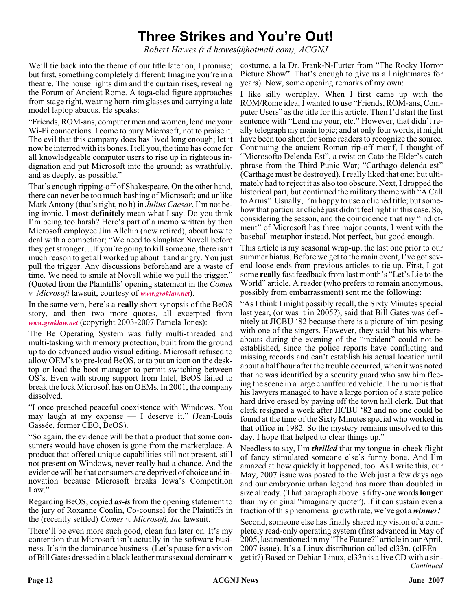# **Three Strikes and You're Out!**

*Robert Hawes (r.d.hawes@hotmail.com), ACGNJ*

We'll tie back into the theme of our title later on, I promise; but first, something completely different: Imagine you're in a theatre. The house lights dim and the curtain rises, revealing the Forum of Ancient Rome. A toga-clad figure approaches from stage right, wearing horn-rim glasses and carrying a late model laptop abacus. He speaks:

"Friends, ROM-ans, computer men and women, lend me your Wi-Fi connections. I come to bury Microsoft, not to praise it. The evil that this company does has lived long enough; let it now be interred with its bones. I tell you, the time has come for all knowledgeable computer users to rise up in righteous indignation and put Microsoft into the ground; as wrathfully, and as deeply, as possible."

That's enough ripping-off of Shakespeare. On the other hand, there can never be too much bashing of Microsoft; and unlike Mark Antony (that's right, no h) in *Julius Caesar*, I'm not being ironic. I **most definitely** mean what I say. Do you think I'm being too harsh? Here's part of a memo written by then Microsoft employee Jim Allchin (now retired), about how to deal with a competitor; "We need to slaughter Novell before they get stronger…If you're going to kill someone, there isn't much reason to get all worked up about it and angry. You just pull the trigger. Any discussions beforehand are a waste of time. We need to smile at Novell while we pull the trigger." (Quoted from the Plaintiffs' opening statement in the *Comes v. Microsoft* lawsuit, courtesy of *[www.groklaw.net](http://www.groklaw.net)*).

In the same vein, here's a **really** short synopsis of the BeOS story, and then two more quotes, all excerpted from *[www.groklaw.net](http://www.groklaw.net)* (copyright 2003-2007 Pamela Jones):

The Be Operating System was fully multi-threaded and multi-tasking with memory protection, built from the ground up to do advanced audio visual editing. Microsoft refused to allow OEM's to pre-load BeOS, or to put an icon on the desktop or load the boot manager to permit switching between OS's. Even with strong support from Intel, BeOS failed to break the lock Microsoft has on OEMs. In 2001, the company dissolved.

"I once preached peaceful coexistence with Windows. You may laugh at my expense — I deserve it." (Jean-Louis Gassée, former CEO, BeOS).

"So again, the evidence will be that a product that some consumers would have chosen is gone from the marketplace. A product that offered unique capabilities still not present, still not present on Windows, never really had a chance. And the evidence will be that consumers are deprived of choice and innovation because Microsoft breaks Iowa's Competition Law."

Regarding BeOS; copied *as-is* from the opening statement to the jury of Roxanne Conlin, Co-counsel for the Plaintiffs in the (recently settled) *Comes v. Microsoft, Inc* lawsuit.

There'll be even more such good, clean fun later on. It's my contention that Microsoft isn't actually in the software business. It's in the dominance business. (Let's pause for a vision of Bill Gates dressed in a black leather transsexual dominatrix

costume, a la Dr. Frank-N-Furter from "The Rocky Horror Picture Show". That's enough to give us all nightmares for years). Now, some opening remarks of my own:

I like silly wordplay. When I first came up with the ROM/Rome idea, I wanted to use "Friends, ROM-ans, Computer Users" as the title for this article. Then I'd start the first sentence with "Lend me your, etc." However, that didn't really telegraph my main topic; and at only four words, it might have been too short for some readers to recognize the source. Continuing the ancient Roman rip-off motif, I thought of "Microsofto Delenda Est", a twist on Cato the Elder's catch phrase from the Third Punic War; "Carthago delenda est" (Carthage must be destroyed). I really liked that one; but ultimately had to reject it as also too obscure. Next, I dropped the historical part, but continued the military theme with "A Call to Arms". Usually, I'm happy to use a clichéd title; but somehow that particular cliché just didn't feel right in this case. So, considering the season, and the coincidence that my "indictment" of Microsoft has three major counts, I went with the baseball metaphor instead. Not perfect, but good enough.

This article is my seasonal wrap-up, the last one prior to our summer hiatus. Before we get to the main event, I've got several loose ends from previous articles to tie up. First, I got some **really** fast feedback from last month's "Let's Lie to the World" article. A reader (who prefers to remain anonymous, possibly from embarrassment) sent me the following:

"As I think I might possibly recall, the Sixty Minutes special last year, (or was it in 2005?), said that Bill Gates was definitely at JICBU '82 because there is a picture of him posing with one of the singers. However, they said that his whereabouts during the evening of the "incident" could not be established, since the police reports have conflicting and missing records and can't establish his actual location until about a half hour after the trouble occurred, when it was noted that he was identified by a security guard who saw him fleeing the scene in a large chauffeured vehicle. The rumor is that his lawyers managed to have a large portion of a state police hard drive erased by paying off the town hall clerk. But that clerk resigned a week after JICBU '82 and no one could be found at the time of the Sixty Minutes special who worked in that office in 1982. So the mystery remains unsolved to this day. I hope that helped to clear things up."

Needless to say, I'm *thrilled* that my tongue-in-cheek flight of fancy stimulated someone else's funny bone. And I'm amazed at how quickly it happened, too. As I write this, our May, 2007 issue was posted to the Web just a few days ago and our embryonic urban legend has more than doubled in size already. (That paragraph above is fifty-one words**longer** than my original "imaginary quote"). If it can sustain even a fraction of this phenomenal growth rate, we've got a*winner!*

*Continued* Second, someone else has finally shared my vision of a completely read-only operating system (first advanced in May of 2005, last mentioned in my "The Future?" article in our April, 2007 issue). It's a Linux distribution called cl33n. (clEEn – get it?) Based on Debian Linux, cl33n is a live CD with a sin-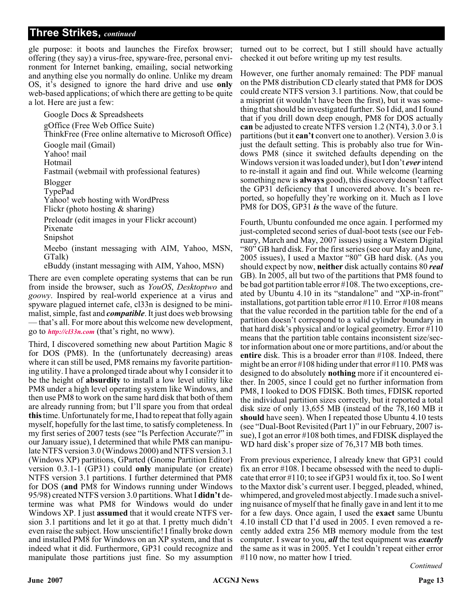gle purpose: it boots and launches the Firefox browser; offering (they say) a virus-free, spyware-free, personal environment for Internet banking, emailing, social networking and anything else you normally do online. Unlike my dream OS, it's designed to ignore the hard drive and use **only** web-based applications; of which there are getting to be quite a lot. Here are just a few:

Google Docs & Spreadsheets gOffice (Free Web Office Suite) ThinkFree (Free online alternative to Microsoft Office) Google mail (Gmail) Yahoo! mail Hotmail Fastmail (webmail with professional features) Blogger TypePad Yahoo! web hosting with WordPress Flickr (photo hosting & sharing) Preloadr (edit images in your Flickr account) Pixenate Snipshot Meebo (instant messaging with AIM, Yahoo, MSN, GTalk)

eBuddy (instant messaging with AIM, Yahoo, MSN)

There are even complete operating systems that can be run from inside the browser, such as *YouOS*, *Desktoptwo* and *goowy*. Inspired by real-world experience at a virus and spyware plagued internet cafe, cl33n is designed to be minimalist, simple, fast and *compatible*. It just does web browsing — that's all. For more about this welcome new development, go to *<http://cl33n.com>* (that's right, no www).

Third, I discovered something new about Partition Magic 8 for DOS (PM8). In the (unfortunately decreasing) areas where it can still be used, PM8 remains my favorite partitioning utility. I have a prolonged tirade about why I consider it to be the height of **absurdity** to install a low level utility like PM8 under a high level operating system like Windows, and then use PM8 to work on the same hard disk that both of them are already running from; but I'll spare you from that ordeal **this**time. Unfortunately for me, I had to repeat that folly again myself, hopefully for the last time, to satisfy completeness. In my first series of 2007 tests (see "Is Perfection Accurate?" in our January issue), I determined that while PM8 can manipulate NTFS version 3.0 (Windows 2000) and NTFS version 3.1 (Windows XP) partitions, GParted (Gnome Partition Editor) version 0.3.1-1 (GP31) could **only** manipulate (or create) NTFS version 3.1 partitions. I further determined that PM8 for DOS (**and** PM8 for Windows running under Windows 95/98) created NTFS version 3.0 partitions. What I **didn't** determine was what PM8 for Windows would do under Windows XP. I just **assumed** that it would create NTFS version 3.1 partitions and let it go at that. I pretty much didn't even raise the subject. How unscientific! I finally broke down and installed PM8 for Windows on an XP system, and that is indeed what it did. Furthermore, GP31 could recognize and manipulate those partitions just fine. So my assumption

turned out to be correct, but I still should have actually checked it out before writing up my test results.

However, one further anomaly remained: The PDF manual on the PM8 distribution CD clearly stated that PM8 for DOS could create NTFS version 3.1 partitions. Now, that could be a misprint (it wouldn't have been the first), but it was something that should be investigated further. So I did, and I found that if you drill down deep enough, PM8 for DOS actually **can** be adjusted to create NTFS version 1.2 (NT4), 3.0 or 3.1 partitions (but it **can't** convert one to another). Version 3.0 is just the default setting. This is probably also true for Windows PM8 (since it switched defaults depending on the Windows version it was loaded under), but I don't *ever*intend to re-install it again and find out. While welcome (learning something new is **always** good), this discovery doesn't affect the GP31 deficiency that I uncovered above. It's been reported, so hopefully they're working on it. Much as I love PM8 for DOS, GP31 *is* the wave of the future.

Fourth, Ubuntu confounded me once again. I performed my just-completed second series of dual-boot tests (see our February, March and May, 2007 issues) using a Western Digital "80" GB hard disk. For the first series (see our May and June, 2005 issues), I used a Maxtor "80" GB hard disk. (As you should expect by now, **neither** disk actually contains 80 *real* GB). In 2005, all but two of the partitions that PM8 found to be bad got partition table error #108. The two exceptions, created by Ubuntu 4.10 in its "standalone" and "XP-in-front" installations, got partition table error #110. Error #108 means that the value recorded in the partition table for the end of a partition doesn't correspond to a valid cylinder boundary in that hard disk's physical and/or logical geometry. Error #110 means that the partition table contains inconsistent size/sector information about one or more partitions, and/or about the **entire** disk. This is a broader error than #108. Indeed, there might be an error #108 hiding under that error #110. PM8 was designed to do absolutely **nothing** more if it encountered either. In 2005, since I could get no further information from PM8, I looked to DOS FDISK. Both times, FDISK reported the individual partition sizes correctly, but it reported a total disk size of only 13,655 MB (instead of the 78,160 MB it **should** have seen). When I repeated those Ubuntu 4.10 tests (see "Dual-Boot Revisited (Part 1)" in our February, 2007 issue), I got an error #108 both times, and FDISK displayed the WD hard disk's proper size of 76,317 MB both times.

From previous experience, I already knew that GP31 could fix an error #108. I became obsessed with the need to duplicate that error #110; to see if GP31 would fix it, too. So I went to the Maxtor disk's current user. I begged, pleaded, whined, whimpered, and groveled most abjectly. I made such a sniveling nuisance of myself that he finally gave in and lent it to me for a few days. Once again, I used the **exact** same Ubuntu 4.10 install CD that I'd used in 2005. I even removed a recently added extra 256 MB memory module from the test computer. I swear to you, *all* the test equipment was *exactly* the same as it was in 2005. Yet I couldn't repeat either error #110 now, no matter how I tried.

*Continued*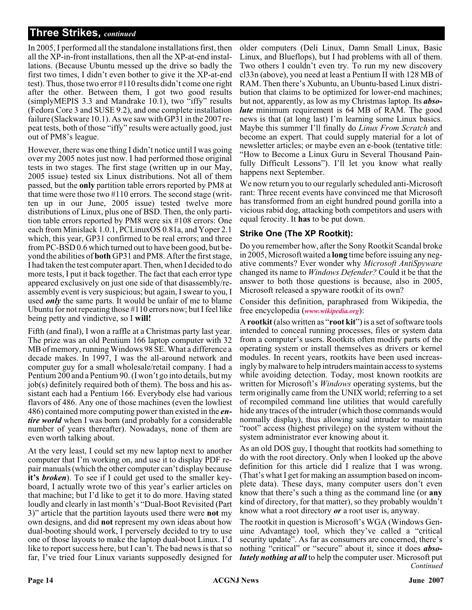In 2005, I performed all the standalone installations first, then all the XP-in-front installations, then all the XP-at-end installations. (Because Ubuntu messed up the drive so badly the first two times, I didn't even bother to give it the XP-at-end test). Thus, those two error #110 results didn't come one right after the other. Between them, I got two good results (simplyMEPIS 3.3 and Mandrake 10.1), two "iffy" results (Fedora Core 3 and SUSE 9.2), and one complete installation failure (Slackware 10.1). As we saw with GP31 in the 2007 repeat tests, both of those "iffy" results were actually good, just out of PM8's league.

However, there was one thing I didn't notice until I was going over my 2005 notes just now. I had performed those original tests in two stages. The first stage (written up in our May, 2005 issue) tested six Linux distributions. Not all of them passed, but the **only** partition table errors reported by PM8 at that time were those two #110 errors. The second stage (written up in our June, 2005 issue) tested twelve more distributions of Linux, plus one of BSD. Then, the only partition table errors reported by PM8 were six #108 errors: One each from Minislack 1.0.1, PCLinuxOS 0.81a, and Yoper 2.1 which, this year, GP31 confirmed to be real errors; and three from PC-BSD 0.6 which turned out to have been good, but beyond the abilities of **both** GP31 and PM8. After the first stage, I had taken the test computer apart. Then, when I decided to do more tests, I put it back together. The fact that each error type appeared exclusively on just one side of that disassembly/reassembly event is very suspicious; but again, I swear to you, I used *only* the same parts. It would be unfair of me to blame Ubuntu for not repeating those #110 errors now; but I feel like being petty and vindictive, so I **will!**

Fifth (and final), I won a raffle at a Christmas party last year. The prize was an old Pentium 166 laptop computer with 32 MB of memory, running Windows 98 SE. What a difference a decade makes. In 1997, I was the all-around network and computer guy for a small wholesale/retail company. I had a Pentium 200 and a Pentium 90. (I won't go into details, but my job(s) definitely required both of them). The boss and his assistant each had a Pentium 166. Everybody else had various flavors of 486. Any one of those machines (even the lowliest 486) contained more computing power than existed in the *entire world* when I was born (and probably for a considerable number of years thereafter). Nowadays, none of them are even worth talking about.

At the very least, I could set my new laptop next to another computer that I'm working on, and use it to display PDF repair manuals (which the other computer can't display because **it's** *broken*). To see if I could get used to the smaller keyboard, I actually wrote two of this year's earlier articles on that machine; but I'd like to get it to do more. Having stated loudly and clearly in last month's "Dual-Boot Revisited (Part 3)" article that the partition layouts used there were **not** my own designs, and did **not** represent my own ideas about how dual-booting should work, I perversely decided to try to use one of those layouts to make the laptop dual-boot Linux. I'd like to report success here, but I can't. The bad news is that so far, I've tried four Linux variants supposedly designed for

older computers (Deli Linux, Damn Small Linux, Basic Linux, and Blueflops), but I had problems with all of them. Two others I couldn't even try. To run my new discovery cl33n (above), you need at least a Pentium II with 128 MB of RAM. Then there's Xubuntu, an Ubuntu-based Linux distribution that claims to be optimized for lower-end machines; but not, apparently, as low as my Christmas laptop. Its *absolute* minimum requirement is 64 MB of RAM. The good news is that (at long last) I'm learning some Linux basics. Maybe this summer I'll finally do *Linux From Scratch* and become an expert. That could supply material for a lot of newsletter articles; or maybe even an e-book (tentative title: "How to Become a Linux Guru in Several Thousand Painfully Difficult Lessons"). I'll let you know what really happens next September.

We now return you to our regularly scheduled anti-Microsoft rant: Three recent events have convinced me that Microsoft has transformed from an eight hundred pound gorilla into a vicious rabid dog, attacking both competitors and users with equal ferocity. It **has** to be put down.

#### **Strike One (The XP Rootkit):**

Do you remember how, after the Sony Rootkit Scandal broke in 2005, Microsoft waited a **long** time before issuing any negative comments? Ever wonder why *Microsoft AntiSpyware* changed its name to *Windows Defender?* Could it be that the answer to both those questions is because, also in 2005, Microsoft released a spyware rootkit of its own?

Consider this definition, paraphrased from Wikipedia, the free encyclopedia (*[www.wikipedia.org](http://www.wikipedia.org)*):

A **rootkit** (also written as "**root kit**") is a set of software tools intended to conceal running processes, files or system data from a computer's users. Rootkits often modify parts of the operating system or install themselves as drivers or kernel modules. In recent years, rootkits have been used increasingly by malware to help intruders maintain access to systems while avoiding detection. Today, most known rootkits are written for Microsoft's *Windows* operating systems, but the term originally came from the UNIX world; referring to a set of recompiled command line utilities that would carefully hide any traces of the intruder (which those commands would normally display), thus allowing said intruder to maintain "root" access (highest privilege) on the system without the system administrator ever knowing about it.

As an old DOS guy, I thought that rootkits had something to do with the root directory. Only when I looked up the above definition for this article did I realize that I was wrong. (That's what I get for making an assumption based on incomplete data). These days, many computer users don't even know that there's such a thing as the command line (or **any** kind of directory, for that matter), so they probably wouldn't know what a root directory *or* a root user is, anyway.

*Continued* The rootkit in question is Microsoft's WGA (Windows Genuine Advantage) tool, which they've called a "critical security update". As far as consumers are concerned, there's nothing "critical" or "secure" about it, since it does *absolutely nothing at all* to help the computer user. Microsoft put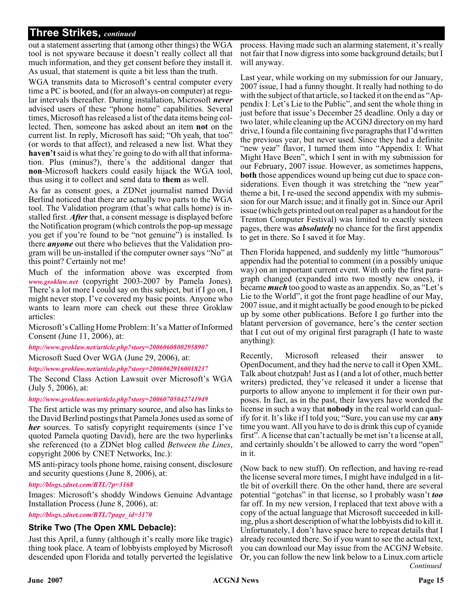out a statement asserting that (among other things) the WGA tool is not spyware because it doesn't really collect all that much information, and they get consent before they install it. As usual, that statement is quite a bit less than the truth.

WGA transmits data to Microsoft's central computer every time a PC is booted, and (for an always-on computer) at regular intervals thereafter. During installation, Microsoft *never* advised users of these "phone home" capabilities. Several times, Microsoft has released a list of the data items being collected. Then, someone has asked about an item **not** on the current list. In reply, Microsoft has said; "Oh yeah, that too" (or words to that affect), and released a new list. What they **haven't**said is what they're going to do with all that information. Plus (minus?), there's the additional danger that **non**-Microsoft hackers could easily hijack the WGA tool, thus using it to collect and send data to **them** as well.

As far as consent goes, a ZDNet journalist named David Berlind noticed that there are actually two parts to the WGA tool. The Validation program (that's what calls home) is installed first. *After* that, a consent message is displayed before the Notification program (which controls the pop-up message you get if you're found to be "not genuine") is installed. Is there *anyone* out there who believes that the Validation program will be un-installed if the computer owner says "No" at this point? Certainly not me!

Much of the information above was excerpted from *[www.groklaw.net](http://www.groklaw.net)* (copyright 2003-2007 by Pamela Jones). There's a lot more I could say on this subject, but if I go on, I might never stop. I've covered my basic points. Anyone who wants to learn more can check out these three Groklaw articles:

Microsoft's Calling Home Problem: It's a Matter of Informed Consent (June 11, 2006), at:

*<http://www.groklaw.net/article.php?story=20060608002958907>*

Microsoft Sued Over WGA (June 29, 2006), at:

*<http://www.groklaw.net/article.php?story=20060629160018237>*

The Second Class Action Lawsuit over Microsoft's WGA (July 5, 2006), at:

#### *<http://www.groklaw.net/article.php?story=20060705042741949>*

The first article was my primary source, and also has links to the David Berlind postings that Pamela Jones used as some of *her* sources. To satisfy copyright requirements (since I've quoted Pamela quoting David), here are the two hyperlinks she referenced (to a ZDNet blog called *Between the Lines*, copyright 2006 by CNET Networks, Inc.):

MS anti-piracy tools phone home, raising consent, disclosure and security questions (June 8, 2006), at:

#### *<http://blogs.zdnet.com/BTL/?p=3168>*

Images: Microsoft's shoddy Windows Genuine Advantage Installation Process (June 8, 2006), at:

*[http://blogs.zdnet.com/BTL/?page\\_id=3170](http://blogs.zdnet.com/BTL/?page_id=3170)*

#### **Strike Two (The Open XML Debacle):**

Just this April, a funny (although it's really more like tragic) thing took place. A team of lobbyists employed by Microsoft descended upon Florida and totally perverted the legislative

process. Having made such an alarming statement, it's really not fair that I now digress into some background details; but I will anyway.

Last year, while working on my submission for our January, 2007 issue, I had a funny thought. It really had nothing to do with the subject of that article, so I tacked it on the end as "Appendix I: Let's Lie to the Public", and sent the whole thing in just before that issue's December 25 deadline. Only a day or two later, while cleaning up the ACGNJ directory on my hard drive, I found a file containing five paragraphs that I'd written the previous year, but never used. Since they had a definite "new year" flavor, I turned them into "Appendix I: What Might Have Been", which I sent in with my submission for our February, 2007 issue. However, as sometimes happens, **both** those appendices wound up being cut due to space considerations. Even though it was stretching the "new year" theme a bit, I re-used the second appendix with my submission for our March issue; and it finally got in. Since our April issue (which gets printed out on real paper as a handout for the Trenton Computer Festival) was limited to exactly sixteen pages, there was *absolutely* no chance for the first appendix to get in there. So I saved it for May.

Then Florida happened, and suddenly my little "humorous" appendix had the potential to comment (in a possibly unique way) on an important current event. With only the first paragraph changed (expanded into two mostly new ones), it became *much* too good to waste as an appendix. So, as "Let's Lie to the World", it got the front page headline of our May, 2007 issue, and it might actually be good enough to be picked up by some other publications. Before I go further into the blatant perversion of governance, here's the center section that I cut out of my original first paragraph (I hate to waste anything):

Recently, Microsoft released their answer to OpenDocument, and they had the nerve to call it Open XML. Talk about chutzpah! Just as I (and a lot of other, much better writers) predicted, they've released it under a license that purports to allow anyone to implement it for their own purposes. In fact, as in the past, their lawyers have worded the license in such a way that **nobody** in the real world can qualify for it. It's like if I told you; "Sure, you can use my car **any** time you want. All you have to do is drink this cup of cyanide first". A license that can't actually be met isn't a license at all, and certainly shouldn't be allowed to carry the word "open" in it.

*Continued* (Now back to new stuff). On reflection, and having re-read the license several more times, I might have indulged in a little bit of overkill there. On the other hand, there are several potential "gotchas" in that license, so I probably wasn't *too* far off. In my new version, I replaced that text above with a copy of the actual language that Microsoft succeeded in killing, plus a short description of what the lobbyists did to kill it. Unfortunately, I don't have space here to repeat details that I already recounted there. So if you want to see the actual text, you can download our May issue from the ACGNJ Website. Or, you can follow the new link below to a Linux.com article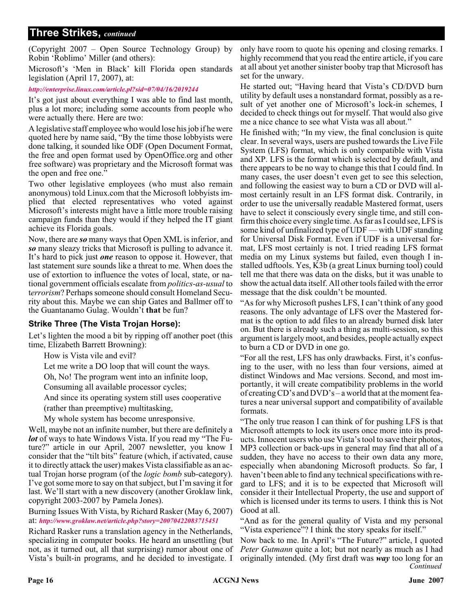(Copyright 2007 – Open Source Technology Group) by Robin 'Roblimo' Miller (and others):

Microsoft's 'Men in Black' kill Florida open standards legislation (April 17, 2007), at:

*<http://enterprise.linux.com/article.pl?sid=07/04/16/2019244>*

It's got just about everything I was able to find last month, plus a lot more; including some accounts from people who were actually there. Here are two:

A legislative staff employee who would lose his job if he were quoted here by name said, "By the time those lobbyists were done talking, it sounded like ODF (Open Document Format, the free and open format used by OpenOffice.org and other free software) was proprietary and the Microsoft format was the open and free one."

Two other legislative employees (who must also remain anonymous) told Linux.com that the Microsoft lobbyists implied that elected representatives who voted against Microsoft's interests might have a little more trouble raising campaign funds than they would if they helped the IT giant achieve its Florida goals.

Now, there are *so* many ways that Open XML is inferior, and *so* many sleazy tricks that Microsoft is pulling to advance it. It's hard to pick just *one* reason to oppose it. However, that last statement sure sounds like a threat to me. When does the use of extortion to influence the votes of local, state, or national government officials escalate from *politics-as-usual* to t*errorism*? Perhaps someone should consult Homeland Security about this. Maybe we can ship Gates and Ballmer off to the Guantanamo Gulag. Wouldn't **that** be fun?

#### **Strike Three (The Vista Trojan Horse):**

Let's lighten the mood a bit by ripping off another poet (this time, Elizabeth Barrett Browning):

How is Vista vile and evil?

Let me write a DO loop that will count the ways.

Oh, No! The program went into an infinite loop,

Consuming all available processor cycles;

And since its operating system still uses cooperative

(rather than preemptive) multitasking,

My whole system has become unresponsive.

Well, maybe not an infinite number, but there are definitely a *lot* of ways to hate Windows Vista. If you read my "The Future?" article in our April, 2007 newsletter, you know I consider that the "tilt bits" feature (which, if activated, cause it to directly attack the user) makes Vista classifiable as an actual Trojan horse program (of the *logic bomb* sub-category). I've got some more to say on that subject, but I'm saving it for last. We'll start with a new discovery (another Groklaw link, copyright 2003-2007 by Pamela Jones).

Burning Issues With Vista, by Richard Rasker (May 6, 2007) at: *<http://www.groklaw.net/article.php?story=20070422083715451>*

Richard Rasker runs a translation agency in the Netherlands, specializing in computer books. He heard an unsettling (but not, as it turned out, all that surprising) rumor about one of Vista's built-in programs, and he decided to investigate. I

only have room to quote his opening and closing remarks. I highly recommend that you read the entire article, if you care at all about yet another sinister booby trap that Microsoft has set for the unwary.

He started out; "Having heard that Vista's CD/DVD burn utility by default uses a nonstandard format, possibly as a result of yet another one of Microsoft's lock-in schemes, I decided to check things out for myself. That would also give me a nice chance to see what Vista was all about."

He finished with; "In my view, the final conclusion is quite clear. In several ways, users are pushed towards the Live File System (LFS) format, which is only compatible with Vista and XP. LFS is the format which is selected by default, and there appears to be no way to change this that I could find. In many cases, the user doesn't even get to see this selection, and following the easiest way to burn a CD or DVD will almost certainly result in an LFS format disk. Contrarily, in order to use the universally readable Mastered format, users have to select it consciously every single time, and still confirm this choice every single time. As far as I could see, LFS is some kind of unfinalized type of UDF — with UDF standing for Universal Disk Format. Even if UDF is a universal format, LFS most certainly is not. I tried reading LFS format media on my Linux systems but failed, even though I installed udftools. Yes, K3b (a great Linux burning tool) could tell me that there was data on the disks, but it was unable to show the actual data itself. All other tools failed with the error message that the disk couldn't be mounted.

"As for why Microsoft pushes LFS, I can't think of any good reasons. The only advantage of LFS over the Mastered format is the option to add files to an already burned disk later on. But there is already such a thing as multi-session, so this argument is largely moot, and besides, people actually expect to burn a CD or DVD in one go.

"For all the rest, LFS has only drawbacks. First, it's confusing to the user, with no less than four versions, aimed at distinct Windows and Mac versions. Second, and most importantly, it will create compatibility problems in the world of creating CD's and DVD's – a world that at the moment features a near universal support and compatibility of available formats.

"The only true reason I can think of for pushing LFS is that Microsoft attempts to lock its users once more into its products. Innocent users who use Vista's tool to save their photos, MP3 collection or back-ups in general may find that all of a sudden, they have no access to their own data any more, especially when abandoning Microsoft products. So far, I haven't been able to find any technical specifications with regard to LFS; and it is to be expected that Microsoft will consider it their Intellectual Property, the use and support of which is licensed under its terms to users. I think this is Not Good at all.

"And as for the general quality of Vista and my personal "Vista experience"? I think the story speaks for itself."

*Continued* Now back to me. In April's "The Future?" article, I quoted *Peter Gutmann* quite a lot; but not nearly as much as I had originally intended. (My first draft was *way* too long for an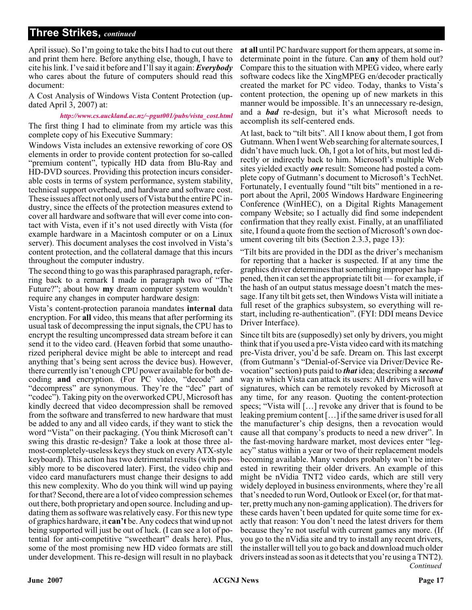April issue). So I'm going to take the bits I had to cut out there and print them here. Before anything else, though, I have to cite his link. I've said it before and I'll say it again:*Everybody* who cares about the future of computers should read this document:

A Cost Analysis of Windows Vista Content Protection (updated April 3, 2007) at:

*[http://www.cs.auckland.ac.nz/~pgut001/pubs/vista\\_cost.html](http://www.cs.auckland.ac.nz/~pgut001/pubs/vista_cost.html)* The first thing I had to eliminate from my article was this complete copy of his Executive Summary:

Windows Vista includes an extensive reworking of core OS elements in order to provide content protection for so-called "premium content", typically HD data from Blu-Ray and HD-DVD sources. Providing this protection incurs considerable costs in terms of system performance, system stability, technical support overhead, and hardware and software cost. These issues affect not only users of Vista but the entire PC industry, since the effects of the protection measures extend to cover all hardware and software that will ever come into contact with Vista, even if it's not used directly with Vista (for example hardware in a Macintosh computer or on a Linux server). This document analyses the cost involved in Vista's content protection, and the collateral damage that this incurs throughout the computer industry.

The second thing to go was this paraphrased paragraph, referring back to a remark I made in paragraph two of "The Future?"; about how **my** dream computer system wouldn't require any changes in computer hardware design:

Vista's content-protection paranoia mandates **internal** data encryption. For **all** video, this means that after performing its usual task of decompressing the input signals, the CPU has to encrypt the resulting uncompressed data stream before it can send it to the video card. (Heaven forbid that some unauthorized peripheral device might be able to intercept and read anything that's being sent across the device bus). However, there currently isn't enough CPU power available for both decoding **and** encryption. (For PC video, "decode" and "decompress" are synonymous. They're the "dec" part of "codec"). Taking pity on the overworked CPU, Microsoft has kindly decreed that video decompression shall be removed from the software and transferred to new hardware that must be added to any and all video cards, if they want to stick the word "Vista" on their packaging. (You think Microsoft can't swing this drastic re-design? Take a look at those three almost-completely-useless keys they stuck on every ATX-style keyboard). This action has two detrimental results (with possibly more to be discovered later). First, the video chip and video card manufacturers must change their designs to add this new complexity. Who do you think will wind up paying for that? Second, there are a lot of video compression schemes out there, both proprietary and open source. Including and updating them as software was relatively easy. For this new type of graphics hardware, it **can't** be. Any codecs that wind up not being supported will just be out of luck. (I can see a lot of potential for anti-competitive "sweetheart" deals here). Plus, some of the most promising new HD video formats are still under development. This re-design will result in no playback

**at all** until PC hardware support for them appears, at some indeterminate point in the future. Can **any** of them hold out? Compare this to the situation with MPEG video, where early software codecs like the XingMPEG en/decoder practically created the market for PC video. Today, thanks to Vista's content protection, the opening up of new markets in this manner would be impossible. It's an unnecessary re-design, and a *bad* re-design, but it's what Microsoft needs to accomplish its self-centered ends.

At last, back to "tilt bits". All I know about them, I got from Gutmann. When I went Web searching for alternate sources, I didn't have much luck. Oh, I got a lot of hits, but most led directly or indirectly back to him. Microsoft's multiple Web sites yielded exactly *one* result: Someone had posted a complete copy of Gutmann's document to Microsoft's TechNet. Fortunately, I eventually found "tilt bits" mentioned in a report about the April, 2005 Windows Hardware Engineering Conference (WinHEC), on a Digital Rights Management company Website; so I actually did find some independent confirmation that they really exist. Finally, at an unaffiliated site, I found a quote from the section of Microsoft's own document covering tilt bits (Section 2.3.3, page 13):

"Tilt bits are provided in the DDI as the driver's mechanism for reporting that a hacker is suspected. If at any time the graphics driver determines that something improper has happened, then it can set the appropriate tilt bit — for example, if the hash of an output status message doesn't match the message. If any tilt bit gets set, then Windows Vista will initiate a full reset of the graphics subsystem, so everything will restart, including re-authentication". (FYI: DDI means Device Driver Interface).

*Continued* Since tilt bits are (supposedly) set only by drivers, you might think that if you used a pre-Vista video card with its matching pre-Vista driver, you'd be safe. Dream on. This last excerpt (from Gutmann's "Denial-of-Service via Driver/Device Revocation" section) puts paid to *that* idea; describing a *second* way in which Vista can attack its users: All drivers will have signatures, which can be remotely revoked by Microsoft at any time, for any reason. Quoting the content-protection specs; "Vista will […] revoke any driver that is found to be leaking premium content […] if the same driver is used for all the manufacturer's chip designs, then a revocation would cause all that company's products to need a new driver". In the fast-moving hardware market, most devices enter "legacy" status within a year or two of their replacement models becoming available. Many vendors probably won't be interested in rewriting their older drivers. An example of this might be nVidia TNT2 video cards, which are still very widely deployed in business environments, where they're all that's needed to run Word, Outlook or Excel (or, for that matter, pretty much any non-gaming application). The drivers for these cards haven't been updated for quite some time for exactly that reason: You don't need the latest drivers for them because they're not useful with current games any more. (If you go to the nVidia site and try to install any recent drivers, the installer will tell you to go back and download much older drivers instead as soon as it detects that you're using a TNT2).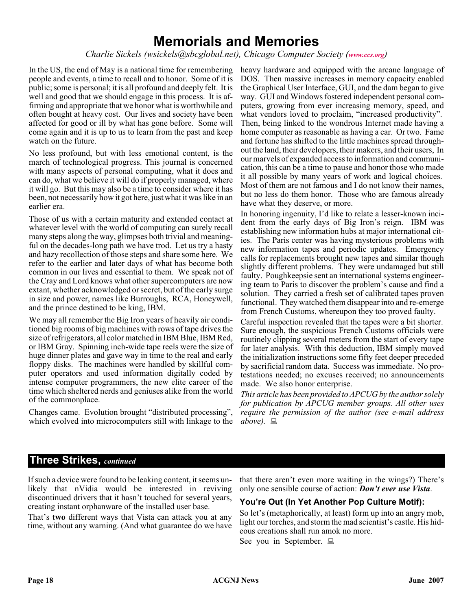# **Memorials and Memories**

#### *Charlie Sickels (wsickels@sbcglobal.net), Chicago Computer Society ([www.ccs.org](http://www.ccs.org))*

In the US, the end of May is a national time for remembering people and events, a time to recall and to honor. Some of it is public; some is personal; it is all profound and deeply felt. It is well and good that we should engage in this process. It is affirming and appropriate that we honor what is worthwhile and often bought at heavy cost. Our lives and society have been affected for good or ill by what has gone before. Some will come again and it is up to us to learn from the past and keep watch on the future.

No less profound, but with less emotional content, is the march of technological progress. This journal is concerned with many aspects of personal computing, what it does and can do, what we believe it will do if properly managed, where it will go. But this may also be a time to consider where it has been, not necessarily how it got here, just what it was like in an earlier era.

Those of us with a certain maturity and extended contact at whatever level with the world of computing can surely recall many steps along the way, glimpses both trivial and meaningful on the decades-long path we have trod. Let us try a hasty and hazy recollection of those steps and share some here. We refer to the earlier and later days of what has become both common in our lives and essential to them. We speak not of the Cray and Lord knows what other supercomputers are now extant, whether acknowledged or secret, but of the early surge in size and power, names like Burroughs, RCA, Honeywell, and the prince destined to be king, IBM.

We may all remember the Big Iron years of heavily air conditioned big rooms of big machines with rows of tape drives the size of refrigerators, all color matched in IBM Blue, IBM Red, or IBM Gray. Spinning inch-wide tape reels were the size of huge dinner plates and gave way in time to the real and early floppy disks. The machines were handled by skillful computer operators and used information digitally coded by intense computer programmers, the new elite career of the time which sheltered nerds and geniuses alike from the world of the commonplace.

Changes came. Evolution brought "distributed processing", which evolved into microcomputers still with linkage to the heavy hardware and equipped with the arcane language of DOS. Then massive increases in memory capacity enabled the Graphical User Interface, GUI, and the dam began to give way. GUI and Windows fostered independent personal computers, growing from ever increasing memory, speed, and what vendors loved to proclaim, "increased productivity". Then, being linked to the wondrous Internet made having a home computer as reasonable as having a car. Or two. Fame and fortune has shifted to the little machines spread throughout the land, their developers, their makers, and their users, In our marvels of expanded access to information and communication, this can be a time to pause and honor those who made it all possible by many years of work and logical choices. Most of them are not famous and I do not know their names, but no less do them honor. Those who are famous already have what they deserve, or more.

In honoring ingenuity, I'd like to relate a lesser-known incident from the early days of Big Iron's reign. IBM was establishing new information hubs at major international cities. The Paris center was having mysterious problems with new information tapes and periodic updates. Emergency calls for replacements brought new tapes and similar though slightly different problems. They were undamaged but still faulty. Poughkeepsie sent an international systems engineering team to Paris to discover the problem's cause and find a solution. They carried a fresh set of calibrated tapes proven functional. They watched them disappear into and re-emerge from French Customs, whereupon they too proved faulty.

Careful inspection revealed that the tapes were a bit shorter. Sure enough, the suspicious French Customs officials were routinely clipping several meters from the start of every tape for later analysis. With this deduction, IBM simply moved the initialization instructions some fifty feet deeper preceded by sacrificial random data. Success was immediate. No protestations needed; no excuses received; no announcements made. We also honor enterprise.

*This article has been provided to APCUG by the author solely for publication by APCUG member groups. All other uses require the permission of the author (see e-mail address above).*

# **Three Strikes,** *continued*

If such a device were found to be leaking content, it seems unlikely that nVidia would be interested in reviving discontinued drivers that it hasn't touched for several years, creating instant orphanware of the installed user base.

That's **two** different ways that Vista can attack you at any time, without any warning. (And what guarantee do we have that there aren't even more waiting in the wings?) There's only one sensible course of action: *Don't ever use Vista*.

### **You're Out (In Yet Another Pop Culture Motif):**

So let's (metaphorically, at least) form up into an angry mob, light our torches, and storm the mad scientist's castle. His hideous creations shall run amok no more.

See you in September.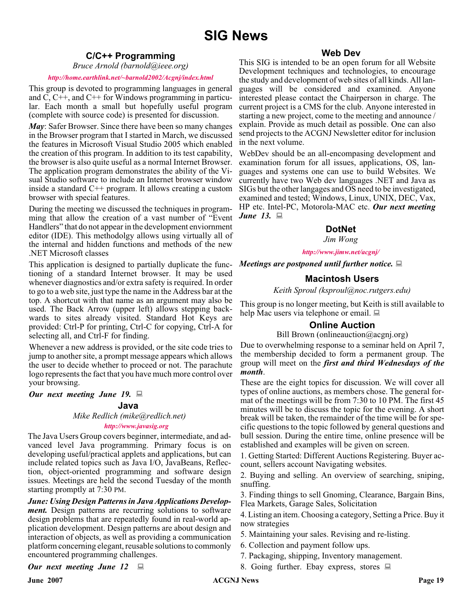# **C/C++ Programming**

*Bruce Arnold (barnold@ieee.org)*

#### *<http://home.earthlink.net/~barnold2002/Acgnj/index.html>*

This group is devoted to programming languages in general and C, C++, and C++ for Windows programming in particular. Each month a small but hopefully useful program (complete with source code) is presented for discussion.

*May*: Safer Browser. Since there have been so many changes in the Browser program that I started in March, we discussed the features in Microsoft Visual Studio 2005 which enabled the creation of this program. In addition to its test capability, the browser is also quite useful as a normal Internet Browser. The application program demonstrates the ability of the Visual Studio software to include an Internet browser window inside a standard  $C^{++}$  program. It allows creating a custom browser with special features.

During the meeting we discussed the techniques in programming that allow the creation of a vast number of "Event Handlers" that do not appear in the development enviornment editor (IDE). This methodolgy allows using virtually all of the internal and hidden functions and methods of the new .NET Microsoft classes

This application is designed to partially duplicate the functioning of a standard Internet browser. It may be used whenever diagnostics and/or extra safety is required. In order to go to a web site, just type the name in the Address bar at the top. A shortcut with that name as an argument may also be used. The Back Arrow (upper left) allows stepping backwards to sites already visited. Standard Hot Keys are provided: Ctrl-P for printing, Ctrl-C for copying, Ctrl-A for selecting all, and Ctrl-F for finding.

Whenever a new address is provided, or the site code tries to jump to another site, a prompt message appears which allows the user to decide whether to proceed or not. The parachute logo represents the fact that you have much more control over your browsing.

#### *Our next meeting June 19.*

#### **Java**

*Mike Redlich (mike@redlich.net)*

#### *<http://www.javasig.org>*

The Java Users Group covers beginner, intermediate, and advanced level Java programming. Primary focus is on developing useful/practical applets and applications, but can include related topics such as Java I/O, JavaBeans, Reflection, object-oriented programming and software design issues. Meetings are held the second Tuesday of the month starting promptly at 7:30 PM.

*June: Using Design Patterns in Java Applications Development.* Design patterns are recurring solutions to software design problems that are repeatedly found in real-world application development. Design patterns are about design and interaction of objects, as well as providing a communication platform concerning elegant, reusable solutions to commonly encountered programming challenges.

#### *Our next meeting June 12*

### **Web Dev**

This SIG is intended to be an open forum for all Website Development techniques and technologies, to encourage the study and development of web sites of all kinds. All languages will be considered and examined. Anyone interested please contact the Chairperson in charge. The current project is a CMS for the club. Anyone interested in starting a new project, come to the meeting and announce / explain. Provide as much detail as possible. One can also send projects to the ACGNJ Newsletter editor for inclusion in the next volume.

WebDev should be an all-encompasing development and examination forum for all issues, applications, OS, languages and systems one can use to build Websites. We currently have two Web dev languages .NET and Java as SIGs but the other langages and OS need to be investigated, examined and tested; Windows, Linux, UNIX, DEC, Vax, HP etc. Intel-PC, Motorola-MAC etc. *Our next meeting June 13.*

### **DotNet**

#### *Jim Wong*

#### *<http://www.jimw.net/acgnj/>*

*Meetings are postponed until further notice.*

#### **Macintosh Users**

*Keith Sproul (ksproul@noc.rutgers.edu)*

This group is no longer meeting, but Keith is still available to help Mac users via telephone or email.

#### **Online Auction**

Bill Brown (onlineauction@acgnj.org)

Due to overwhelming response to a seminar held on April 7, the membership decided to form a permanent group. The group will meet on the *first and third Wednesdays of the month*.

These are the eight topics for discussion. We will cover all types of online auctions, as members chose. The general format of the meetings will be from 7:30 to 10 PM. The first 45 minutes will be to discuss the topic for the evening. A short break will be taken, the remainder of the time will be for specific questions to the topic followed by general questions and bull session. During the entire time, online presence will be established and examples will be given on screen.

1. Getting Started: Different Auctions Registering. Buyer account, sellers account Navigating websites.

2. Buying and selling. An overview of searching, sniping, snuffing.

3. Finding things to sell Gnoming, Clearance, Bargain Bins, Flea Markets, Garage Sales, Solicitation

4. Listing an item. Choosing a category, Setting a Price. Buy it now strategies

- 5. Maintaining your sales. Revising and re-listing.
- 6. Collection and payment follow ups.
- 7. Packaging, shipping, Inventory management.
- 8. Going further. Ebay express, stores  $\Box$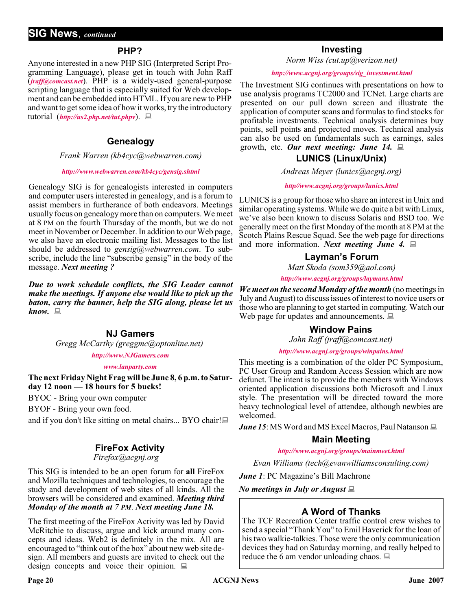### **PHP?**

Anyone interested in a new PHP SIG (Interpreted Script Programming Language), please get in touch with John Raff (*[jraff@comcast.net](mailto:jraff@comcast.net)*). PHP is a widely-used general-purpose scripting language that is especially suited for Web development and can be embedded into HTML. If you are new to PHP and want to get some idea of how it works, try the introductory tutorial (*<http://us2.php.net/tut.phpv>*).

### **Genealogy**

#### *Frank Warren (kb4cyc@webwarren.com)*

#### *<http://www.webwarren.com/kb4cyc/gensig.shtml>*

Genealogy SIG is for genealogists interested in computers and computer users interested in genealogy, and is a forum to assist members in furtherance of both endeavors. Meetings usually focus on genealogy more than on computers. We meet at 8 PM on the fourth Thursday of the month, but we do not meet in November or December. In addition to our Web page, we also have an electronic mailing list. Messages to the list should be addressed to *gensig@webwarren.com*. To subscribe, include the line "subscribe gensig" in the body of the message. *Next meeting ?*

*Due to work schedule conflicts, the SIG Leader cannot make the meetings. If anyone else would like to pick up the baton, carry the banner, help the SIG along, please let us know.*

### **NJ Gamers**

*Gregg McCarthy (greggmc@optonline.net)*

#### *<http://www.NJGamers.com>*

#### *[www.lanparty.com](http://www.lanparty.com)*

**The next Friday Night Frag will be June 8, 6 p.m. to Saturday 12 noon — 18 hours for 5 bucks!**

BYOC - Bring your own computer

BYOF - Bring your own food.

and if you don't like sitting on metal chairs... BYO chair!

# **FireFox Activity**

*Firefox@acgnj.org*

This SIG is intended to be an open forum for **all** FireFox and Mozilla techniques and technologies, to encourage the study and development of web sites of all kinds. All the browsers will be considered and examined. *Meeting third Monday of the month at 7 PM*. *Next meeting June 18.*

The first meeting of the FireFox Activity was led by David McRitchie to discuss, argue and kick around many concepts and ideas. Web2 is definitely in the mix. All are encouraged to "think out of the box" about new web site design. All members and guests are invited to check out the design concepts and voice their opinion.  $\Box$ 

### **Investing**

*Norm Wiss (cut.up@verizon.net)*

#### *[http://www.acgnj.org/groups/sig\\_investment.html](http://www.acgnj.org/groups/sig_investment.html)*

The Investment SIG continues with presentations on how to use analysis programs TC2000 and TCNet. Large charts are presented on our pull down screen and illustrate the application of computer scans and formulas to find stocks for profitable investments. Technical analysis determines buy points, sell points and projected moves. Technical analysis can also be used on fundamentals such as earnings, sales growth, etc. *Our next meeting: June 14.*

# **LUNICS (Linux/Unix)**

*Andreas Meyer (lunics@acgnj.org)*

#### *<http//www.acgnj.org/groups/lunics.html>*

LUNICS is a group for those who share an interest in Unix and similar operating systems. While we do quite a bit with Linux, we've also been known to discuss Solaris and BSD too. We generally meet on the first Monday of the month at 8 PM at the Scotch Plains Rescue Squad. See the web page for directions and more information. *Next meeting June 4.*

# **Layman's Forum**

*Matt Skoda (som359@aol.com)*

*<http://www.acgnj.org/groups/laymans.html>*

*We meet on the second Monday of the month* (no meetings in July and August) to discuss issues of interest to novice users or those who are planning to get started in computing. Watch our Web page for updates and announcements.  $\Box$ 

### **Window Pains**

*John Raff (jraff@comcast.net)*

#### *<http://www.acgnj.org/groups/winpains.html>*

This meeting is a combination of the older PC Symposium, PC User Group and Random Access Session which are now defunct. The intent is to provide the members with Windows oriented application discussions both Microsoft and Linux style. The presentation will be directed toward the more heavy technological level of attendee, although newbies are welcomed.

*June 15*: MS Word and MS Excel Macros, Paul Natanson  $\Box$ 

### **Main Meeting**

*<http://www.acgnj.org/groups/mainmeet.html>*

*Evan Williams (tech@evanwilliamsconsulting.com)*

*June 1*: PC Magazine's Bill Machrone

*No meetings in July or August*

# **A Word of Thanks**

The TCF Recreation Center traffic control crew wishes to send a special "Thank You" to Emil Haverick for the loan of his two walkie-talkies. Those were the only communication devices they had on Saturday morning, and really helped to reduce the 6 am vendor unloading chaos.  $\Box$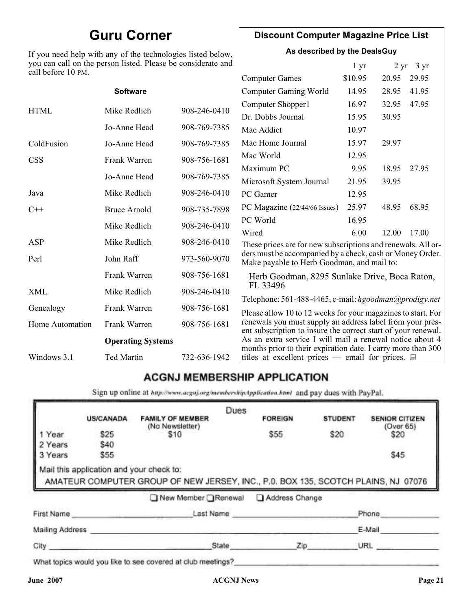# **Guru Corner**

If you need help with any of the technologies listed below, you can call on the person listed. Please be considerate and call before 10 PM.

# **Discount Computer Magazine Price List**

**As described by the DealsGuy**

1 yr 2 yr 3 yr

| call before 10 PM.       |                     |              |                                                                                                                            |         |       |       |
|--------------------------|---------------------|--------------|----------------------------------------------------------------------------------------------------------------------------|---------|-------|-------|
|                          |                     |              | <b>Computer Games</b>                                                                                                      | \$10.95 | 20.95 | 29.95 |
|                          | <b>Software</b>     |              | <b>Computer Gaming World</b>                                                                                               | 14.95   | 28.95 | 41.95 |
| <b>HTML</b>              | Mike Redlich        | 908-246-0410 | Computer Shopper1                                                                                                          | 16.97   | 32.95 | 47.95 |
|                          |                     |              | Dr. Dobbs Journal                                                                                                          | 15.95   | 30.95 |       |
|                          | Jo-Anne Head        | 908-769-7385 | Mac Addict                                                                                                                 | 10.97   |       |       |
| ColdFusion               | Jo-Anne Head        | 908-769-7385 | Mac Home Journal                                                                                                           | 15.97   | 29.97 |       |
| <b>CSS</b>               | Frank Warren        | 908-756-1681 | Mac World                                                                                                                  | 12.95   |       |       |
|                          |                     |              | Maximum PC                                                                                                                 | 9.95    | 18.95 | 27.95 |
|                          | Jo-Anne Head        | 908-769-7385 | Microsoft System Journal                                                                                                   | 21.95   | 39.95 |       |
| Java                     | Mike Redlich        | 908-246-0410 | PC Gamer                                                                                                                   | 12.95   |       |       |
| $C++$                    | <b>Bruce Arnold</b> | 908-735-7898 | PC Magazine (22/44/66 Issues)                                                                                              | 25.97   | 48.95 | 68.95 |
|                          | Mike Redlich        | 908-246-0410 | PC World                                                                                                                   | 16.95   |       |       |
|                          |                     |              | Wired                                                                                                                      | 6.00    | 12.00 | 17.00 |
| ASP                      | Mike Redlich        | 908-246-0410 | These prices are for new subscriptions and renewals. All or-                                                               |         |       |       |
| Perl                     | John Raff           | 973-560-9070 | ders must be accompanied by a check, cash or Money Order.<br>Make payable to Herb Goodman, and mail to:                    |         |       |       |
|                          | Frank Warren        | 908-756-1681 | Herb Goodman, 8295 Sunlake Drive, Boca Raton,                                                                              |         |       |       |
| XML                      | Mike Redlich        | 908-246-0410 | FL 33496<br>Telephone: 561-488-4465, e-mail: hgoodman@prodigy.net                                                          |         |       |       |
| Genealogy                | Frank Warren        | 908-756-1681 | Please allow 10 to 12 weeks for your magazines to start. For                                                               |         |       |       |
| <b>Home Automation</b>   | Frank Warren        | 908-756-1681 | renewals you must supply an address label from your pres-<br>ent subscription to insure the correct start of your renewal. |         |       |       |
| <b>Operating Systems</b> |                     |              | As an extra service I will mail a renewal notice about 4                                                                   |         |       |       |
| Windows 3.1              | Ted Martin          | 732-636-1942 | months prior to their expiration date. I carry more than 300<br>titles at excellent prices — email for prices. $\Box$      |         |       |       |
|                          |                     |              |                                                                                                                            |         |       |       |

# **ACGNJ MEMBERSHIP APPLICATION**

Sign up online at http://www.acguj.org/membershipApplication.html and pay dues with PayPal.

|                 |                                          |                                                                                   | Dues |                |                |                       |
|-----------------|------------------------------------------|-----------------------------------------------------------------------------------|------|----------------|----------------|-----------------------|
|                 | <b>US/CANADA</b>                         | <b>FAMILY OF MEMBER</b>                                                           |      | <b>FOREIGN</b> | <b>STUDENT</b> | <b>SENIOR CITIZEN</b> |
| 1 Year          | \$25                                     | (No Newsletter)<br>\$10                                                           |      | \$55           | \$20           | (Over 65)<br>\$20     |
| 2 Years         | \$40                                     |                                                                                   |      |                |                |                       |
| 3 Years         | \$55                                     |                                                                                   |      |                |                | \$45                  |
|                 | Mail this application and your check to: | AMATEUR COMPUTER GROUP OF NEW JERSEY, INC., P.0. BOX 135, SCOTCH PLAINS, NJ 07076 |      |                |                |                       |
|                 |                                          | New Member Renewal                                                                |      | Address Change |                |                       |
| First Name      |                                          |                                                                                   |      | Last Name      |                | Phone                 |
| Mailing Address |                                          |                                                                                   |      |                |                | E-Mail                |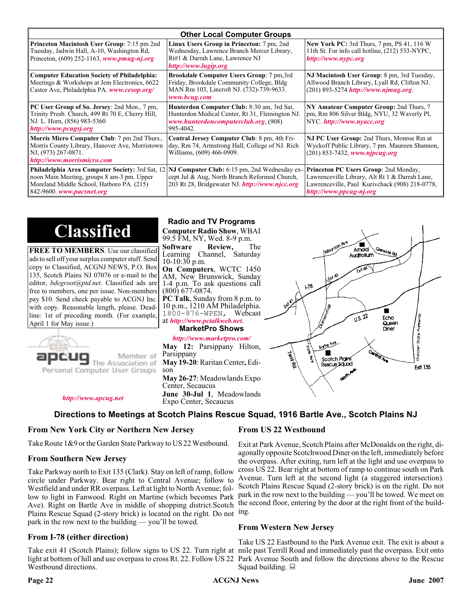|                                                                                                                                                                               | <b>Other Local Computer Groups</b>                                                                                                                        |                                                                                                                                                                      |  |  |  |
|-------------------------------------------------------------------------------------------------------------------------------------------------------------------------------|-----------------------------------------------------------------------------------------------------------------------------------------------------------|----------------------------------------------------------------------------------------------------------------------------------------------------------------------|--|--|--|
| <b>Princeton Macintosh User Group:</b> 7:15 pm 2nd<br>Tuesday, Jadwin Hall, A-10, Washington Rd,<br>Princeton, $(609)$ 252-1163, www.pmug-nj.org                              | Linux Users Group in Princeton: 7 pm, 2nd<br>Wednesday, Lawrence Branch Mercer Library,<br>Rt#1 & Darrah Lane, Lawrence NJ<br>http://www.lugip.org        | New York PC: 3rd Thurs, 7 pm, PS 41, 116 W<br>11th St. For info call hotline, (212) 533-NYPC,<br>http://www.nypc.org                                                 |  |  |  |
| <b>Computer Education Society of Philadelphia:</b><br>Meetings & Workshops at Jem Electronics, 6622<br>Castor Ave, Philadelphia PA. www.cesop.org/                            | <b>Brookdale Computer Users Group:</b> 7 pm, 3rd<br>Friday, Brookdale Community College, Bldg<br>MAN Rm 103, Lincroft NJ. (732)-739-9633.<br>www.bcug.com | NJ Macintosh User Group: 8 pm, 3rd Tuesday,<br>Allwood Branch Library, Lyall Rd, Clifton NJ.<br>$(201)$ 893-5274 http://www.njmug.org.                               |  |  |  |
| PC User Group of So. Jersey: 2nd Mon., 7 pm,<br>Trinity Presb. Church, 499 Rt 70 E, Cherry Hill,<br>NJ. L. Horn, (856) 983-5360<br>http://www.pcugsj.org                      | Hunterdon Computer Club: 8:30 am, 3rd Sat,<br>Hunterdon Medical Center, Rt 31, Flemington NJ.<br>www.hunterdoncomputerclub.org. (908)<br>995-4042.        | NY Amateur Computer Group: 2nd Thurs, 7<br>pm, Rm 806 Silver Bldg, NYU, 32 Waverly Pl,<br>NYC http://www.nyacc.org                                                   |  |  |  |
| Morris Micro Computer Club: 7 pm 2nd Thurs.,<br>Morris County Library, Hanover Ave, Morristown<br>NJ, (973) 267-0871.<br>http://www.morrismicro.com                           | Central Jersey Computer Club: 8 pm, 4th Fri-<br>day, Rm 74, Armstrong Hall, College of NJ. Rich<br>Williams, (609) 466-0909.                              | NJ PC User Group: 2nd Thurs, Monroe Rm at<br>Wyckoff Public Library, 7 pm. Maureen Shannon,<br>(201) 853-7432, www.njpcug.org                                        |  |  |  |
| <b>Philadelphia Area Computer Society: 3rd Sat, 12</b><br>noon Main Meeting, groups 8 am-3 pm. Upper<br>Moreland Middle School, Hatboro PA. (215)<br>842-9600 www.pacsnet.org | NJ Computer Club: 6:15 pm, 2nd Wednesday ex-<br>cept Jul & Aug, North Branch Reformed Church,<br>203 Rt 28, Bridgewater NJ. http://www.njcc.org           | Princeton PC Users Group: 2nd Monday,<br>Lawrenceville Library, Alt Rt 1 & Darrah Lane,<br>Lawrenceville, Paul Kurivchack (908) 218-0778,<br>http://www.ppcug-nj.org |  |  |  |

**Classified**

**FREE TO MEMBERS**. Use our classified ads to sell off your surplus computer stuff. Send copy to Classified, ACGNJ NEWS, P.O. Box 135, Scotch Plains NJ 07076 or e-mail to the editor, *bdegroot@ptd.net*. Classified ads are free to members, one per issue. Non-members pay \$10. Send check payable to ACGNJ Inc. with copy. Reasonable length, please. Deadline: 1st of preceding month. (For example, April 1 for May issue.)



**Radio and TV Programs**

**Computer Radio Show**, WBAI 99.5 FM, NY, Wed. 8-9 p.m.

**Software Review, The Learning Channel, Saturday** Channel, Saturday  $10-10:30$  p.m. **On Computers**, WCTC 1450

AM, New Brunswick, Sunday 1-4 p.m. To ask questions call (800) 677-0874. **PC Talk**, Sunday from 8 p.m. to 10 p.m., 1210 AM Philadelphia.

1800-876-WPEN, Webcast at *<http://www.pctalkweb.net>*.

#### **MarketPro Shows**

#### *<http://www.marketpro.com/>*

**May 12:** Parsippany Hilton, Parsippany **May 19-20**: Raritan Center**,** Edi- son **May 26-27**: Meadowlands Expo Center, Secaucus **June 30-Jul 1**, Meadowlands Expo Center, Secaucus

 $\blacksquare$ Amold **Auditorium**  $178$  $\sqrt{1.5 \cdot 22}$ Fcho Sorden State Parkw Queen Diner Boyle Ave ر<br>هليا Г Scotch Pigins Rescue Sound **Frit 135** 

*<http://www.apcug.net>*

### **Directions to Meetings at Scotch Plains Rescue Squad, 1916 Bartle Ave., Scotch Plains NJ**

#### **From New York City or Northern New Jersey**

Take Route 1&9 or the Garden State Parkway to US 22 Westbound.

#### **From Southern New Jersey**

Take Parkway north to Exit 135 (Clark). Stay on left of ramp, follow circle under Parkway. Bear right to Central Avenue; follow to Westfield and under RR overpass. Left at light to North Avenue; follow to light in Fanwood. Right on Martine (which becomes Park Ave). Right on Bartle Ave in middle of shopping district.Scotch Plains Rescue Squad (2-story brick) is located on the right. Do not park in the row next to the building — you'll be towed.

#### **From I-78 (either direction)**

Take exit 41 (Scotch Plains); follow signs to US 22. Turn right at mile past Terrill Road and immediately past the overpass. Exit onto light at bottom of hill and use overpass to cross Rt. 22. Follow US 22 Park Avenue South and follow the directions above to the Rescue Westbound directions.

#### **From US 22 Westbound**

Exit at Park Avenue, Scotch Plains after McDonalds on the right, diagonally opposite Scotchwood Diner on the left, immediately before the overpass. After exiting, turn left at the light and use overpass to cross US 22. Bear right at bottom of ramp to continue south on Park Avenue. Turn left at the second light (a staggered intersection). Scotch Plains Rescue Squad (2-story brick) is on the right. Do not park in the row next to the building — you'll be towed. We meet on the second floor, entering by the door at the right front of the building.

#### **From Western New Jersey**

Take US 22 Eastbound to the Park Avenue exit. The exit is about a Squad building.  $\Box$